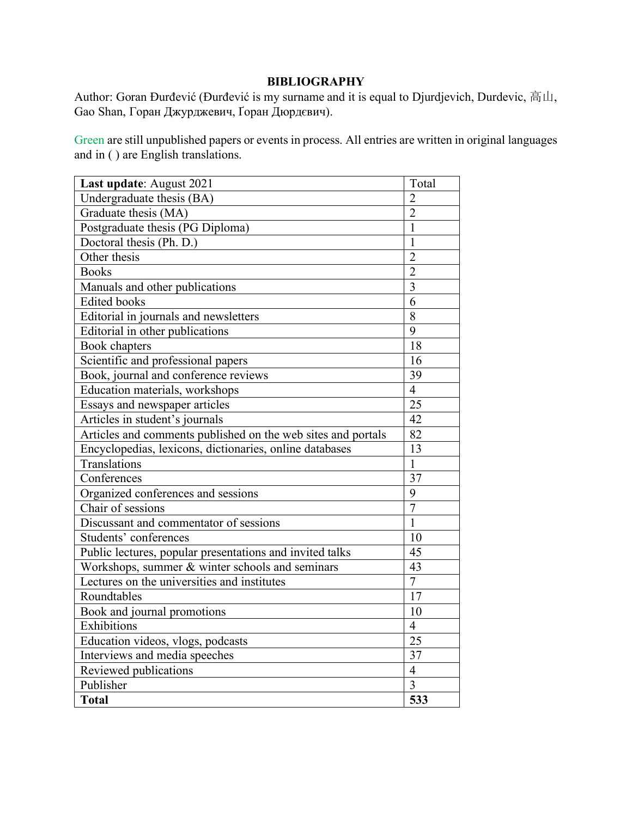# **BIBLIOGRAPHY**

Author: Goran Đurđević (Đurđević is my surname and it is equal to Djurdjevich, Durdevic, 高山, Gao Shan, Горан Джурджевич, Ґоран Дюрдєвич).

Green are still unpublished papers or events in process. All entries are written in original languages and in ( ) are English translations.

| Last update: August 2021                                     | Total          |
|--------------------------------------------------------------|----------------|
| Undergraduate thesis (BA)                                    | $\overline{2}$ |
| Graduate thesis (MA)                                         | $\overline{2}$ |
| Postgraduate thesis (PG Diploma)                             | 1              |
| Doctoral thesis (Ph. D.)                                     | 1              |
| Other thesis                                                 | $\overline{2}$ |
| <b>Books</b>                                                 | $\overline{2}$ |
| Manuals and other publications                               | $\overline{3}$ |
| <b>Edited books</b>                                          | 6              |
| Editorial in journals and newsletters                        | 8              |
| Editorial in other publications                              | 9              |
| Book chapters                                                | 18             |
| Scientific and professional papers                           | 16             |
| Book, journal and conference reviews                         | 39             |
| Education materials, workshops                               | $\overline{4}$ |
| Essays and newspaper articles                                | 25             |
| Articles in student's journals                               | 42             |
| Articles and comments published on the web sites and portals | 82             |
| Encyclopedias, lexicons, dictionaries, online databases      | 13             |
| Translations                                                 | $\mathbf{1}$   |
| Conferences                                                  | 37             |
| Organized conferences and sessions                           | 9              |
| Chair of sessions                                            | $\overline{7}$ |
| Discussant and commentator of sessions                       | 1              |
| Students' conferences                                        | 10             |
| Public lectures, popular presentations and invited talks     | 45             |
| Workshops, summer & winter schools and seminars              | 43             |
| Lectures on the universities and institutes                  | $\overline{7}$ |
| Roundtables                                                  | 17             |
| Book and journal promotions                                  | 10             |
| Exhibitions                                                  | $\overline{4}$ |
| Education videos, vlogs, podcasts                            | 25             |
| Interviews and media speeches                                | 37             |
| Reviewed publications                                        | $\overline{4}$ |
| Publisher                                                    | 3              |
| <b>Total</b>                                                 | 533            |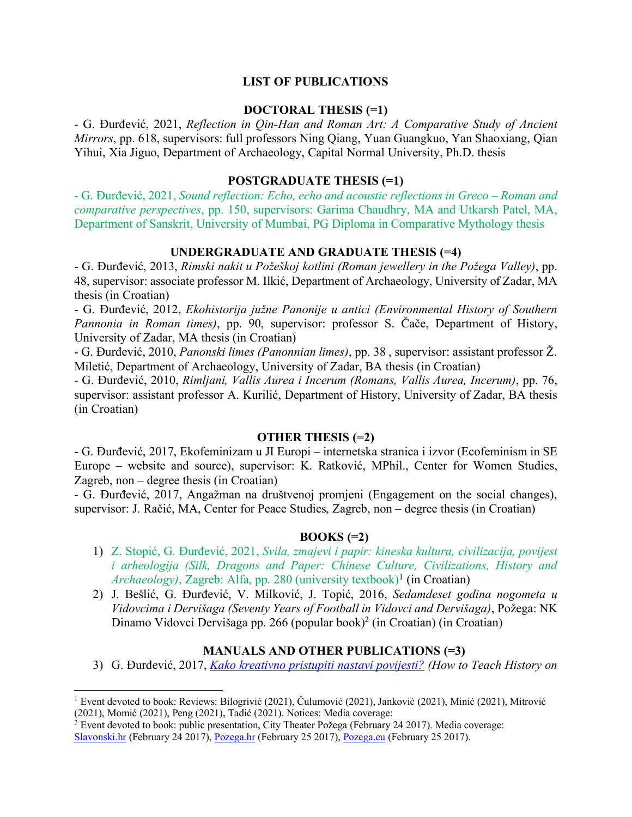#### **LIST OF PUBLICATIONS**

#### **DOCTORAL THESIS (=1)**

- G. Đurđević, 2021, *Reflection in Qin-Han and Roman Art: A Comparative Study of Ancient Mirrors*, pp. 618, supervisors: full professors Ning Qiang, Yuan Guangkuo, Yan Shaoxiang, Qian Yihui, Xia Jiguo, Department of Archaeology, Capital Normal University, Ph.D. thesis

#### **POSTGRADUATE THESIS (=1)**

- G. Đurđević, 2021, *Sound reflection: Echo, echo and acoustic reflections in Greco – Roman and comparative perspectives*, pp. 150, supervisors: Garima Chaudhry, MA and Utkarsh Patel, MA, Department of Sanskrit, University of Mumbai, PG Diploma in Comparative Mythology thesis

#### **UNDERGRADUATE AND GRADUATE THESIS (=4)**

- G. Đurđević, 2013, *Rimski nakit u Požeškoj kotlini (Roman jewellery in the Požega Valley)*, pp. 48, supervisor: associate professor M. Ilkić, Department of Archaeology, University of Zadar, MA thesis (in Croatian)

- G. Đurđević, 2012, *Ekohistorija južne Panonije u antici (Environmental History of Southern Pannonia in Roman times)*, pp. 90, supervisor: professor S. Čače, Department of History, University of Zadar, MA thesis (in Croatian)

- G. Đurđević, 2010, *Panonski limes (Panonnian limes)*, pp. 38 , supervisor: assistant professor Ž. Miletić, Department of Archaeology, University of Zadar, BA thesis (in Croatian)

- G. Đurđević, 2010, *Rimljani, Vallis Aurea i Incerum (Romans, Vallis Aurea, Incerum)*, pp. 76, supervisor: assistant professor A. Kurilić, Department of History, University of Zadar, BA thesis (in Croatian)

## **OTHER THESIS (=2)**

- G. Đurđević, 2017, Ekofeminizam u JI Europi – internetska stranica i izvor (Ecofeminism in SE Europe – website and source), supervisor: K. Ratković, MPhil., Center for Women Studies, Zagreb, non – degree thesis (in Croatian)

- G. Đurđević, 2017, Angažman na društvenoj promjeni (Engagement on the social changes), supervisor: J. Račić, MA, Center for Peace Studies, Zagreb, non – degree thesis (in Croatian)

#### **BOOKS (=2)**

- 1) Z. Stopić, G. Đurđević, 2021, *Svila, zmajevi i papir: kineska kultura, civilizacija, povijest i arheologija (Silk, Dragons and Paper: Chinese Culture, Civilizations, History and Archaeology*), Zagreb: Alfa, pp. 280 (university textbook)<sup>1</sup> (in Croatian)
- 2) J. Bešlić, G. Đurđević, V. Milković, J. Topić, 2016, *Sedamdeset godina nogometa u Vidovcima i Dervišaga (Seventy Years of Football in Vidovci and Dervišaga)*, Požega: NK Dinamo Vidovci Dervišaga pp. 266 (popular book)<sup>2</sup> (in Croatian) (in Croatian)

#### **MANUALS AND OTHER PUBLICATIONS (=3)**

3) G. Đurđević, 2017, *Kako kreativno pristupiti nastavi povijesti? (How to Teach History on* 

 <sup>1</sup> Event devoted to book: Reviews: Bilogrivić (2021), Čulumović (2021), Janković (2021), Minić (2021), Mitrovi<sup>ć</sup> (2021), Momić (2021), Peng (2021), Tadić (2021). Notices: Media coverage:

<sup>2</sup> Event devoted to book: public presentation, City Theater Požega (February 24 2017). Media coverage: Slavonski.hr (February 24 2017), Pozega.hr (February 25 2017), Pozega.eu (February 25 2017).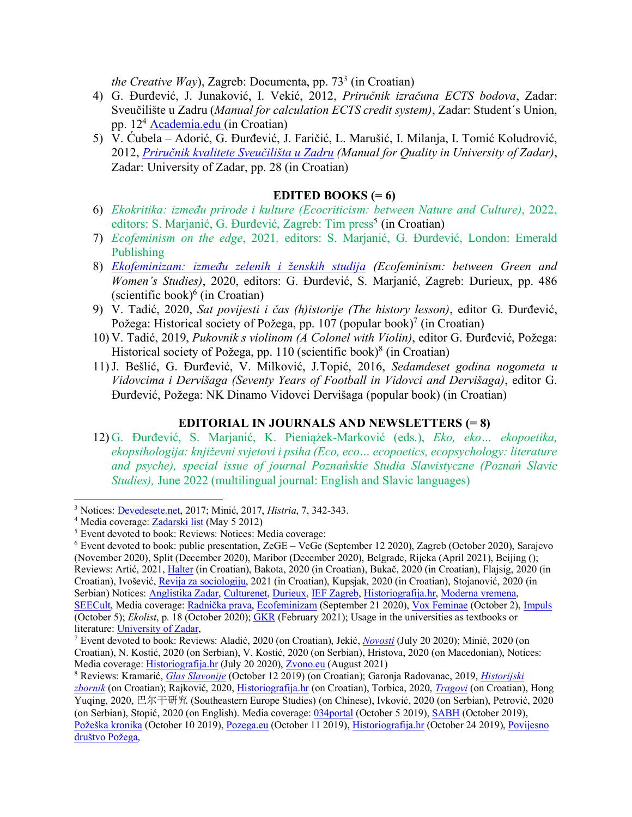*the Creative Way*), Zagreb: Documenta, pp. 73<sup>3</sup> (in Croatian)

- 4) G. Đurđević, J. Junaković, I. Vekić, 2012, *Priručnik izračuna ECTS bodova*, Zadar: Sveučilište u Zadru (*Manual for calculation ECTS credit system)*, Zadar: Student´s Union, pp. 124 Academia.edu (in Croatian)
- 5) V. Ćubela Adorić, G. Đurđević, J. Faričić, L. Marušić, I. Milanja, I. Tomić Koludrović, 2012, *Priručnik kvalitete Sveučilišta u Zadru (Manual for Quality in University of Zadar)*, Zadar: University of Zadar, pp. 28 (in Croatian)

## **EDITED BOOKS (= 6)**

- 6) *Ekokritika: između prirode i kulture (Ecocriticism: between Nature and Culture)*, 2022, editors: S. Marjanić, G. Đurđević, Zagreb: Tim press<sup>5</sup> (in Croatian)
- 7) *Ecofeminism on the edge*, 2021*,* editors: S. Marjanić, G. Đurđević, London: Emerald Publishing
- 8) *Ekofeminizam: između zelenih i ženskih studija (Ecofeminism: between Green and Women's Studies)*, 2020, editors: G. Đurđević, S. Marjanić, Zagreb: Durieux, pp. 486 (scientific book) $6$  (in Croatian)
- 9) V. Tadić, 2020, *Sat povijesti i čas (h)istorije (The history lesson)*, editor G. Đurđević, Požega: Historical society of Požega, pp. 107 (popular book)<sup>7</sup> (in Croatian)
- 10) V. Tadić, 2019, *Pukovnik s violinom (A Colonel with Violin)*, editor G. Đurđević, Požega: Historical society of Požega, pp. 110 (scientific book)<sup>8</sup> (in Croatian)
- 11)J. Bešlić, G. Đurđević, V. Milković, J.Topić, 2016, *Sedamdeset godina nogometa u Vidovcima i Dervišaga (Seventy Years of Football in Vidovci and Dervišaga)*, editor G. Đurđević, Požega: NK Dinamo Vidovci Dervišaga (popular book) (in Croatian)

## **EDITORIAL IN JOURNALS AND NEWSLETTERS (= 8)**

12) G. Đurđević, S. Marjanić, K. Pieniążek-Marković (eds.), *Eko, eko… ekopoetika, ekopsihologija: književni svjetovi i psiha (Eco, eco… ecopoetics, ecopsychology: literature and psyche), special issue of journal Poznańskie Studia Slawistyczne (Poznań Slavic Studies),* June 2022 (multilingual journal: English and Slavic languages)

 <sup>3</sup> Notices: Devedesete.net, 2017; Minić, 2017, *Histria*, 7, 342-343.

<sup>4</sup> Media coverage: Zadarski list (May 5 2012)

<sup>5</sup> Event devoted to book: Reviews: Notices: Media coverage:

<sup>6</sup> Event devoted to book: public presentation, ZeGE – VeGe (September 12 2020), Zagreb (October 2020), Sarajevo (November 2020), Split (December 2020), Maribor (December 2020), Belgrade, Rijeka (April 2021), Beijing (); Reviews: Artić, 2021, Halter (in Croatian), Bakota, 2020 (in Croatian), Bukač, 2020 (in Croatian), Flajsig, 2020 (in Croatian), Ivošević, Revija za sociologiju, 2021 (in Croatian), Kupsjak, 2020 (in Croatian), Stojanović, 2020 (in Serbian) Notices: Anglistika Zadar, Culturenet, Durieux, IEF Zagreb, Historiografija.hr, Moderna vremena, SEECult, Media coverage: Radnička prava, Ecofeminizam (September 21 2020), Vox Feminae (October 2), Impuls (October 5); *Ekolist*, p. 18 (October 2020); GKR (February 2021); Usage in the universities as textbooks or

literature: *University of Zadar, 7* Event devoted to book: Reviews: Aladić, 2020 (on Croatian), Jekić, *Novosti* (July 20 2020); Minić, 2020 (on *7* Event devoted to book: Reviews: Aladić, 2020 (on Croatian), Jekić, *No* Croatian), N. Kostić, 2020 (on Serbian), V. Kostić, 2020 (on Serbian), Hristova, 2020 (on Macedonian), Notices: Media coverage: Historiografija.hr (July 20 2020), Zvono.eu (August 2021)

<sup>8</sup> Reviews: Kramarić, *Glas Slavonije* (October 12 2019) (on Croatian); Garonja Radovanac, 2019, *Historijski zbornik* (on Croatian); Rajković, 2020, Historiografija.hr (on Croatian), Torbica, 2020, *Tragovi* (on Croatian), Hong Yuqing, 2020, 巴尔干研究 (Southeastern Europe Studies) (on Chinese), Ivković, 2020 (on Serbian), Petrović, 2020 (on Serbian), Stopić, 2020 (on English). Media coverage: 034portal (October 5 2019), SABH (October 2019), Požeška kronika (October 10 2019), Pozega.eu (October 11 2019), Historiografija.hr (October 24 2019), Povijesno društvo Požega,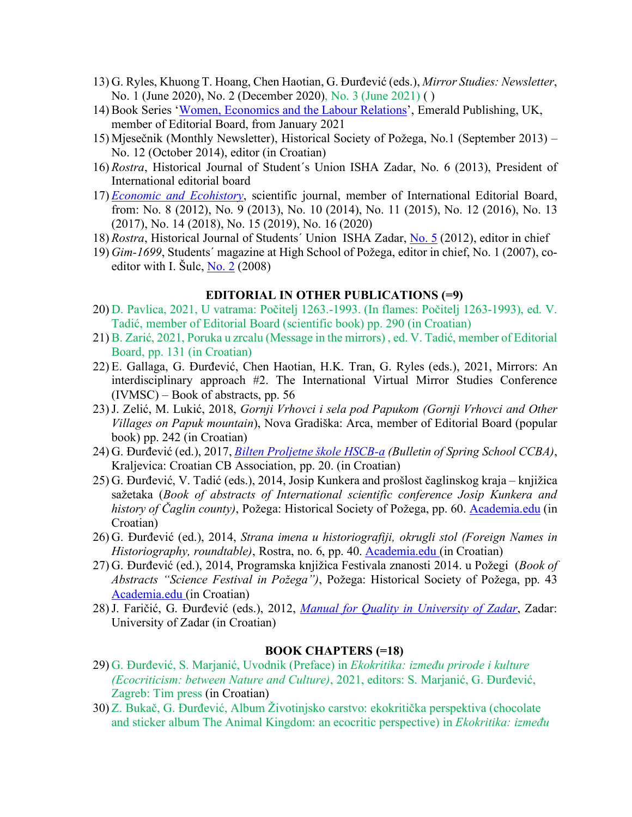- 13) G. Ryles, Khuong T. Hoang, Chen Haotian, G. Đurđević (eds.), *Mirror Studies: Newsletter*, No. 1 (June 2020), No. 2 (December 2020), No. 3 (June 2021) ( )
- 14) Book Series 'Women, Economics and the Labour Relations', Emerald Publishing, UK, member of Editorial Board, from January 2021
- 15) Mjesečnik (Monthly Newsletter), Historical Society of Požega, No.1 (September 2013) No. 12 (October 2014), editor (in Croatian)
- 16) *Rostra*, Historical Journal of Student´s Union ISHA Zadar, No. 6 (2013), President of International editorial board
- 17) *Economic and Ecohistory*, scientific journal, member of International Editorial Board, from: No. 8 (2012), No. 9 (2013), No. 10 (2014), No. 11 (2015), No. 12 (2016), No. 13 (2017), No. 14 (2018), No. 15 (2019), No. 16 (2020)
- 18) *Rostra*, Historical Journal of Students´ Union ISHA Zadar, No. 5 (2012), editor in chief
- 19) *Gim-1699*, Students´ magazine at High School of Požega, editor in chief, No. 1 (2007), coeditor with I. Šulc,  $N_0$ .  $2(2008)$

## **EDITORIAL IN OTHER PUBLICATIONS (=9)**

- 20) D. Pavlica, 2021, U vatrama: Počitelj 1263.-1993. (In flames: Počitelj 1263-1993), ed. V. Tadić, member of Editorial Board (scientific book) pp. 290 (in Croatian)
- 21) B. Zarić, 2021, Poruka u zrcalu (Message in the mirrors) , ed. V. Tadić, member of Editorial Board, pp. 131 (in Croatian)
- 22) E. Gallaga, G. Đurđević, Chen Haotian, H.K. Tran, G. Ryles (eds.), 2021, Mirrors: An interdisciplinary approach #2. The International Virtual Mirror Studies Conference  $(IVMSC)$  – Book of abstracts, pp. 56
- 23)J. Zelić, M. Lukić, 2018, *Gornji Vrhovci i sela pod Papukom (Gornji Vrhovci and Other Villages on Papuk mountain*), Nova Gradiška: Arca, member of Editorial Board (popular book) pp. 242 (in Croatian)
- 24) G. Đurđević (ed.), 2017, *Bilten Proljetne škole HSCB-a (Bulletin of Spring School CCBA)*, Kraljevica: Croatian CB Association, pp. 20. (in Croatian)
- 25) G. Đurđević, V. Tadić (eds.), 2014, Josip Kunkera and prošlost čaglinskog kraja knjižica sažetaka (*Book of abstracts of International scientific conference Josip Kunkera and history of Čaglin county)*, Požega: Historical Society of Požega, pp. 60. Academia.edu (in Croatian)
- 26) G. Đurđević (ed.), 2014, *Strana imena u historiografiji, okrugli stol (Foreign Names in Historiography, roundtable)*, Rostra, no. 6, pp. 40. Academia.edu (in Croatian)
- 27) G. Đurđević (ed.), 2014, Programska knjižica Festivala znanosti 2014. u Požegi (*Book of Abstracts "Science Festival in Požega")*, Požega: Historical Society of Požega, pp. 43 Academia.edu (in Croatian)
- 28)J. Faričić, G. Đurđević (eds.), 2012, *Manual for Quality in University of Zadar*, Zadar: University of Zadar (in Croatian)

#### **BOOK CHAPTERS (=18)**

- 29) G. Đurđević, S. Marjanić, Uvodnik (Preface) in *Ekokritika: između prirode i kulture (Ecocriticism: between Nature and Culture)*, 2021, editors: S. Marjanić, G. Đurđević, Zagreb: Tim press (in Croatian)
- 30) Z. Bukač, G. Đurđević, Album Životinjsko carstvo: ekokritička perspektiva (chocolate and sticker album The Animal Kingdom: an ecocritic perspective) in *Ekokritika: između*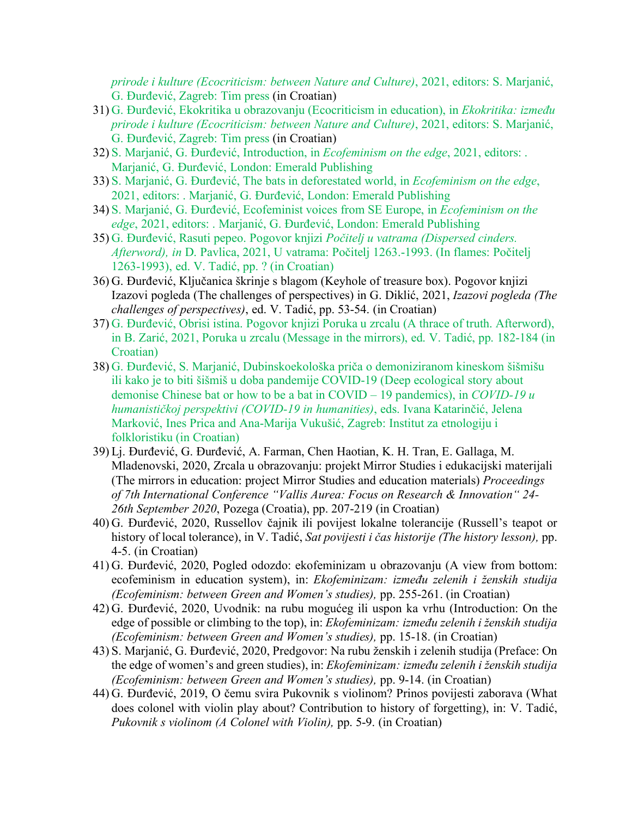*prirode i kulture (Ecocriticism: between Nature and Culture)*, 2021, editors: S. Marjanić, G. Đurđević, Zagreb: Tim press (in Croatian)

- 31) G. Đurđević, Ekokritika u obrazovanju (Ecocriticism in education), in *Ekokritika: između prirode i kulture (Ecocriticism: between Nature and Culture)*, 2021, editors: S. Marjanić, G. Đurđević, Zagreb: Tim press (in Croatian)
- 32) S. Marjanić, G. Đurđević, Introduction, in *Ecofeminism on the edge*, 2021, editors: . Marjanić, G. Đurđević, London: Emerald Publishing
- 33) S. Marjanić, G. Đurđević, The bats in deforestated world, in *Ecofeminism on the edge*, 2021, editors: . Marjanić, G. Đurđević, London: Emerald Publishing
- 34) S. Marjanić, G. Đurđević, Ecofeminist voices from SE Europe, in *Ecofeminism on the edge*, 2021, editors: . Marjanić, G. Đurđević, London: Emerald Publishing
- 35) G. Đurđević, Rasuti pepeo. Pogovor knjizi *Počitelj u vatrama (Dispersed cinders. Afterword), in* D. Pavlica, 2021, U vatrama: Počitelj 1263.-1993. (In flames: Počitelj 1263-1993), ed. V. Tadić, pp. ? (in Croatian)
- 36) G. Đurđević, Ključanica škrinje s blagom (Keyhole of treasure box). Pogovor knjizi Izazovi pogleda (The challenges of perspectives) in G. Diklić, 2021, *Izazovi pogleda (The challenges of perspectives)*, ed. V. Tadić, pp. 53-54. (in Croatian)
- 37) G. Đurđević, Obrisi istina. Pogovor knjizi Poruka u zrcalu (A thrace of truth. Afterword), in B. Zarić, 2021, Poruka u zrcalu (Message in the mirrors), ed. V. Tadić, pp. 182-184 (in Croatian)
- 38) G. Đurđević, S. Marjanić, Dubinskoekološka priča o demoniziranom kineskom šišmišu ili kako je to biti šišmiš u doba pandemije COVID-19 (Deep ecological story about demonise Chinese bat or how to be a bat in COVID – 19 pandemics), in *COVID-19 u humanističkoj perspektivi (COVID-19 in humanities)*, eds. Ivana Katarinčić, Jelena Marković, Ines Prica and Ana-Marija Vukušić, Zagreb: Institut za etnologiju i folkloristiku (in Croatian)
- 39) Lj. Đurđević, G. Đurđević, A. Farman, Chen Haotian, K. H. Tran, E. Gallaga, M. Mladenovski, 2020, Zrcala u obrazovanju: projekt Mirror Studies i edukacijski materijali (The mirrors in education: project Mirror Studies and education materials) *Proceedings of 7th International Conference "Vallis Aurea: Focus on Research & Innovation" 24- 26th September 2020*, Pozega (Croatia), pp. 207-219 (in Croatian)
- 40) G. Đurđević, 2020, Russellov čajnik ili povijest lokalne tolerancije (Russell's teapot or history of local tolerance), in V. Tadić, *Sat povijesti i čas historije (The history lesson),* pp. 4-5. (in Croatian)
- 41) G. Đurđević, 2020, Pogled odozdo: ekofeminizam u obrazovanju (A view from bottom: ecofeminism in education system), in: *Ekofeminizam: između zelenih i ženskih studija (Ecofeminism: between Green and Women's studies),* pp. 255-261. (in Croatian)
- 42) G. Đurđević, 2020, Uvodnik: na rubu mogućeg ili uspon ka vrhu (Introduction: On the edge of possible or climbing to the top), in: *Ekofeminizam: između zelenih i ženskih studija (Ecofeminism: between Green and Women's studies),* pp. 15-18. (in Croatian)
- 43) S. Marjanić, G. Đurđević, 2020, Predgovor: Na rubu ženskih i zelenih studija (Preface: On the edge of women's and green studies), in: *Ekofeminizam: između zelenih i ženskih studija (Ecofeminism: between Green and Women's studies),* pp. 9-14. (in Croatian)
- 44) G. Đurđević, 2019, O čemu svira Pukovnik s violinom? Prinos povijesti zaborava (What does colonel with violin play about? Contribution to history of forgetting), in: V. Tadić, *Pukovnik s violinom (A Colonel with Violin),* pp. 5-9. (in Croatian)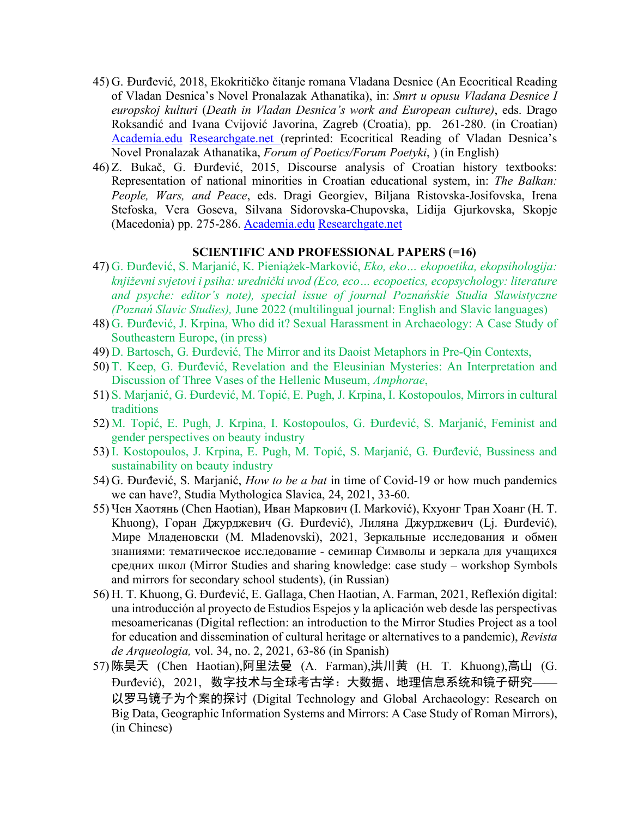- 45) G. Đurđević, 2018, Ekokritičko čitanje romana Vladana Desnice (An Ecocritical Reading of Vladan Desnica's Novel Pronalazak Athanatika), in: *Smrt u opusu Vladana Desnice I europskoj kulturi* (*Death in Vladan Desnica's work and European culture)*, eds. Drago Roksandić and Ivana Cvijović Javorina, Zagreb (Croatia), pp. 261-280. (in Croatian) Academia.edu Researchgate.net (reprinted: Ecocritical Reading of Vladan Desnica's Novel Pronalazak Athanatika, *Forum of Poetics/Forum Poetyki*, ) (in English)
- 46) Z. Bukač, G. Đurđević, 2015, Discourse analysis of Croatian history textbooks: Representation of national minorities in Croatian educational system, in: *The Balkan: People, Wars, and Peace*, eds. Dragi Georgiev, Biljana Ristovska-Josifovska, Irena Stefoska, Vera Goseva, Silvana Sidorovska-Chupovska, Lidija Gjurkovska, Skopje (Macedonia) pp. 275-286. Academia.edu Researchgate.net

#### **SCIENTIFIC AND PROFESSIONAL PAPERS (=16)**

- 47) G. Đurđević, S. Marjanić, K. Pieniążek-Marković, *Eko, eko… ekopoetika, ekopsihologija: književni svjetovi i psiha: urednički uvod (Eco, eco… ecopoetics, ecopsychology: literature and psyche: editor's note), special issue of journal Poznańskie Studia Slawistyczne (Poznań Slavic Studies),* June 2022 (multilingual journal: English and Slavic languages)
- 48) G. Đurđević, J. Krpina, Who did it? Sexual Harassment in Archaeology: A Case Study of Southeastern Europe, (in press)
- 49) D. Bartosch, G. Đurđević, The Mirror and its Daoist Metaphors in Pre-Qin Contexts,
- 50) T. Keep, G. Đurđević, Revelation and the Eleusinian Mysteries: An Interpretation and Discussion of Three Vases of the Hellenic Museum, *Amphorae*,
- 51) S. Marjanić, G. Đurđević, M. Topić, E. Pugh, J. Krpina, I. Kostopoulos, Mirrors in cultural traditions
- 52) M. Topić, E. Pugh, J. Krpina, I. Kostopoulos, G. Đurđević, S. Marjanić, Feminist and gender perspectives on beauty industry
- 53) I. Kostopoulos, J. Krpina, E. Pugh, M. Topić, S. Marjanić, G. Đurđević, Bussiness and sustainability on beauty industry
- 54) G. Đurđević, S. Marjanić, *How to be a bat* in time of Covid-19 or how much pandemics we can have?, Studia Mythologica Slavica, 24, 2021, 33-60.
- 55) Чен Хаотянь (Chen Haotian), Иван Маркович (I. Marković), Кхуонг Тран Хоанг (H. T. Khuong), Горан Джурджевич (G. Đurđević), Лиляна Джурджевич (Lj. Đurđević), Мире Младеновски (M. Mladenovski), 2021, Зеркальные исследования и обмен знаниями: тематическое исследование - семинар Символы и зеркала для учащихся средних школ (Mirror Studies and sharing knowledge: case study – workshop Symbols and mirrors for secondary school students), (in Russian)
- 56) H. T. Khuong, G. Đurđević, E. Gallaga, Chen Haotian, A. Farman, 2021, Reflexión digital: una introducción al proyecto de Estudios Espejos y la aplicación web desde las perspectivas mesoamericanas (Digital reflection: an introduction to the Mirror Studies Project as a tool for education and dissemination of cultural heritage or alternatives to a pandemic), *Revista de Arqueologia,* vol. 34, no. 2, 2021, 63-86 (in Spanish)
- 57) 陈昊天 (Chen Haotian),阿里法曼 (A. Farman),洪川黄 (H. T. Khuong),高山 (G. Đurđević), 2021, 数字技术与全球考古学: 大数据、地理信息系统和镜子研究—— 以罗马镜子为个案的探讨 (Digital Technology and Global Archaeology: Research on Big Data, Geographic Information Systems and Mirrors: A Case Study of Roman Mirrors), (in Chinese)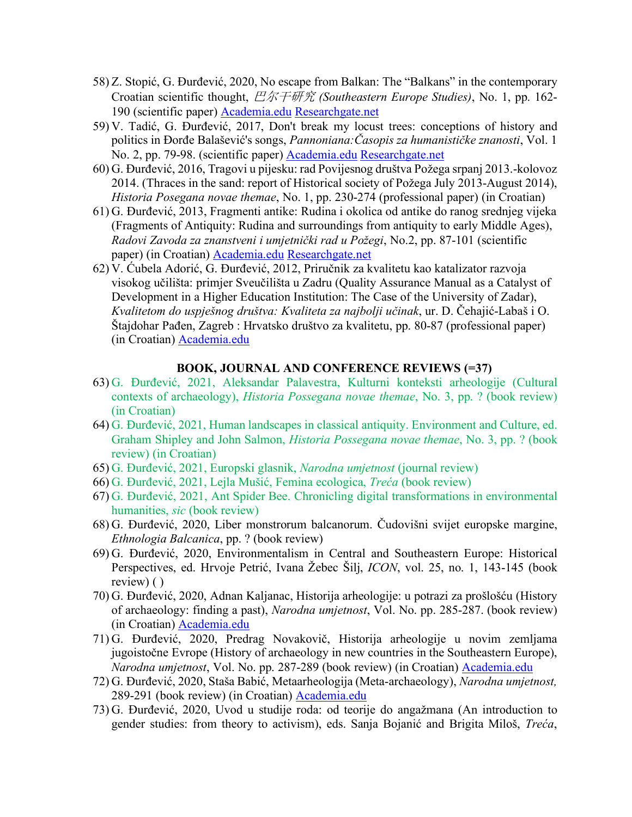- 58) Z. Stopić, G. Đurđević, 2020, No escape from Balkan: The "Balkans" in the contemporary Croatian scientific thought, 巴尔干研究 *(Southeastern Europe Studies)*, No. 1, pp. 162- 190 (scientific paper) Academia.edu Researchgate.net
- 59) V. Tadić, G. Đurđević, 2017, Don't break my locust trees: conceptions of history and politics in Đorđe Balašević's songs, *Pannoniana:Časopis za humanističke znanosti*, Vol. 1 No. 2, pp. 79-98. (scientific paper) Academia.edu Researchgate.net
- 60) G. Đurđević, 2016, Tragovi u pijesku: rad Povijesnog društva Požega srpanj 2013.-kolovoz 2014. (Thraces in the sand: report of Historical society of Požega July 2013-August 2014), *Historia Posegana novae themae*, No. 1, pp. 230-274 (professional paper) (in Croatian)
- 61) G. Đurđević, 2013, Fragmenti antike: Rudina i okolica od antike do ranog srednjeg vijeka (Fragments of Antiquity: Rudina and surroundings from antiquity to early Middle Ages), *Radovi Zavoda za znanstveni i umjetnički rad u Požegi*, No.2, pp. 87-101 (scientific paper) (in Croatian) Academia.edu Researchgate.net
- 62) V. Ćubela Adorić, G. Đurđević, 2012, Priručnik za kvalitetu kao katalizator razvoja visokog učilišta: primjer Sveučilišta u Zadru (Quality Assurance Manual as a Catalyst of Development in a Higher Education Institution: The Case of the University of Zadar), *Kvalitetom do uspješnog društva: Kvaliteta za najbolji učinak*, ur. D. Čehajić-Labaš i O. Štajdohar Pađen, Zagreb : Hrvatsko društvo za kvalitetu, pp. 80-87 (professional paper) (in Croatian) Academia.edu

#### **BOOK, JOURNAL AND CONFERENCE REVIEWS (=37)**

- 63) G. Đurđević, 2021, Aleksandar Palavestra, Kulturni konteksti arheologije (Cultural contexts of archaeology), *Historia Possegana novae themae*, No. 3, pp. ? (book review) (in Croatian)
- 64) G. Đurđević, 2021, Human landscapes in classical antiquity. Environment and Culture, ed. Graham Shipley and John Salmon, *Historia Possegana novae themae*, No. 3, pp. ? (book review) (in Croatian)
- 65) G. Đurđević, 2021, Europski glasnik, *Narodna umjetnost* (journal review)
- 66) G. Đurđević, 2021, Lejla Mušić, Femina ecologica, *Treća* (book review)
- 67) G. Đurđević, 2021, Ant Spider Bee. Chronicling digital transformations in environmental humanities, *sic* (book review)
- 68) G. Đurđević, 2020, Liber monstrorum balcanorum. Čudovišni svijet europske margine, *Ethnologia Balcanica*, pp. ? (book review)
- 69) G. Đurđević, 2020, Environmentalism in Central and Southeastern Europe: Historical Perspectives, ed. Hrvoje Petrić, Ivana Žebec Šilj, *ICON*, vol. 25, no. 1, 143-145 (book review) ( )
- 70) G. Đurđević, 2020, Adnan Kaljanac, Historija arheologije: u potrazi za prošlošću (History of archaeology: finding a past), *Narodna umjetnost*, Vol. No. pp. 285-287. (book review) (in Croatian) Academia.edu
- 71) G. Đurđević, 2020, Predrag Novakovič, Historija arheologije u novim zemljama jugoistočne Evrope (History of archaeology in new countries in the Southeastern Europe), *Narodna umjetnost*, Vol. No. pp. 287-289 (book review) (in Croatian) Academia.edu
- 72) G. Đurđević, 2020, Staša Babić, Metaarheologija (Meta-archaeology), *Narodna umjetnost,*  289-291 (book review) (in Croatian) Academia.edu
- 73) G. Đurđević, 2020, Uvod u studije roda: od teorije do angažmana (An introduction to gender studies: from theory to activism), eds. Sanja Bojanić and Brigita Miloš, *Treća*,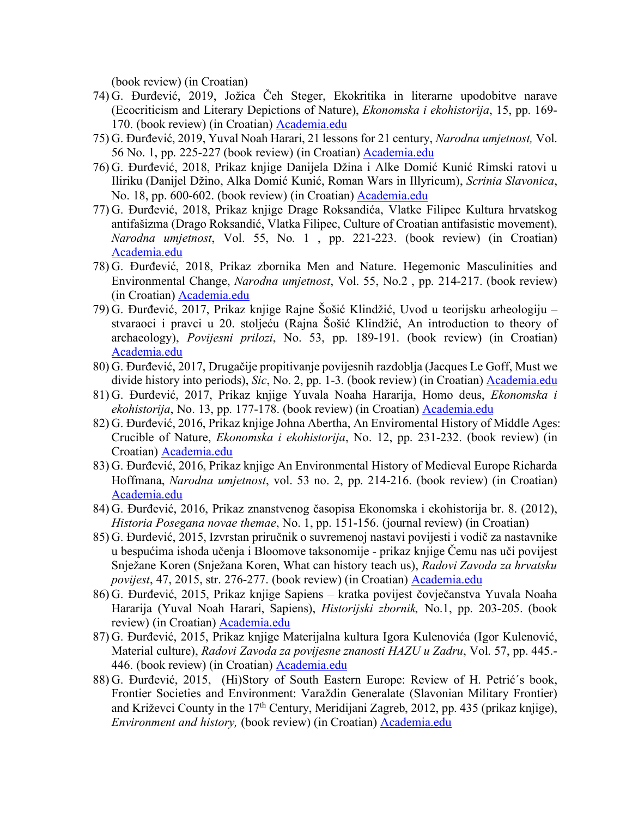(book review) (in Croatian)

- 74) G. Đurđević, 2019, Jožica Čeh Steger, Ekokritika in literarne upodobitve narave (Ecocriticism and Literary Depictions of Nature), *Ekonomska i ekohistorija*, 15, pp. 169- 170. (book review) (in Croatian) Academia.edu
- 75) G. Đurđević, 2019, Yuval Noah Harari, 21 lessons for 21 century, *Narodna umjetnost,* Vol. 56 No. 1, pp. 225-227 (book review) (in Croatian) Academia.edu
- 76) G. Đurđević, 2018, Prikaz knjige Danijela Džina i Alke Domić Kunić Rimski ratovi u Iliriku (Danijel Džino, Alka Domić Kunić, Roman Wars in Illyricum), *Scrinia Slavonica*, No. 18, pp. 600-602. (book review) (in Croatian) Academia.edu
- 77) G. Đurđević, 2018, Prikaz knjige Drage Roksandića, Vlatke Filipec Kultura hrvatskog antifašizma (Drago Roksandić, Vlatka Filipec, Culture of Croatian antifasistic movement), *Narodna umjetnost*, Vol. 55, No. 1 , pp. 221-223. (book review) (in Croatian) Academia.edu
- 78) G. Đurđević, 2018, Prikaz zbornika Men and Nature. Hegemonic Masculinities and Environmental Change, *Narodna umjetnost*, Vol. 55, No.2 , pp. 214-217. (book review) (in Croatian) Academia.edu
- 79) G. Đurđević, 2017, Prikaz knjige Rajne Šošić Klindžić, Uvod u teorijsku arheologiju stvaraoci i pravci u 20. stoljeću (Rajna Šošić Klindžić, An introduction to theory of archaeology), *Povijesni prilozi*, No. 53, pp. 189-191. (book review) (in Croatian) Academia.edu
- 80) G. Đurđević, 2017, Drugačije propitivanje povijesnih razdoblja (Jacques Le Goff, Must we divide history into periods), *Sic*, No. 2, pp. 1-3. (book review) (in Croatian) Academia.edu
- 81) G. Đurđević, 2017, Prikaz knjige Yuvala Noaha Hararija, Homo deus, *Ekonomska i ekohistorija*, No. 13, pp. 177-178. (book review) (in Croatian) Academia.edu
- 82) G. Đurđević, 2016, Prikaz knjige Johna Abertha, An Enviromental History of Middle Ages: Crucible of Nature, *Ekonomska i ekohistorija*, No. 12, pp. 231-232. (book review) (in Croatian) Academia.edu
- 83) G. Đurđević, 2016, Prikaz knjige An Environmental History of Medieval Europe Richarda Hoffmana, *Narodna umjetnost*, vol. 53 no. 2, pp. 214-216. (book review) (in Croatian) Academia.edu
- 84) G. Đurđević, 2016, Prikaz znanstvenog časopisa Ekonomska i ekohistorija br. 8. (2012), *Historia Posegana novae themae*, No. 1, pp. 151-156. (journal review) (in Croatian)
- 85) G. Đurđević, 2015, Izvrstan priručnik o suvremenoj nastavi povijesti i vodič za nastavnike u bespućima ishoda učenja i Bloomove taksonomije - prikaz knjige Čemu nas uči povijest Snježane Koren (Snježana Koren, What can history teach us), *Radovi Zavoda za hrvatsku povijest*, 47, 2015, str. 276-277. (book review) (in Croatian) Academia.edu
- 86) G. Đurđević, 2015, Prikaz knjige Sapiens kratka povijest čovječanstva Yuvala Noaha Hararija (Yuval Noah Harari, Sapiens), *Historijski zbornik,* No.1, pp. 203-205. (book review) (in Croatian) Academia.edu
- 87) G. Đurđević, 2015, Prikaz knjige Materijalna kultura Igora Kulenovića (Igor Kulenović, Material culture), *Radovi Zavoda za povijesne znanosti HAZU u Zadru*, Vol. 57, pp. 445.- 446. (book review) (in Croatian) Academia.edu
- 88) G. Đurđević, 2015, (Hi)Story of South Eastern Europe: Review of H. Petrić´s book, Frontier Societies and Environment: Varaždin Generalate (Slavonian Military Frontier) and Križevci County in the 17<sup>th</sup> Century, Meridijani Zagreb, 2012, pp. 435 (prikaz knjige), *Environment and history,* (book review) (in Croatian) Academia.edu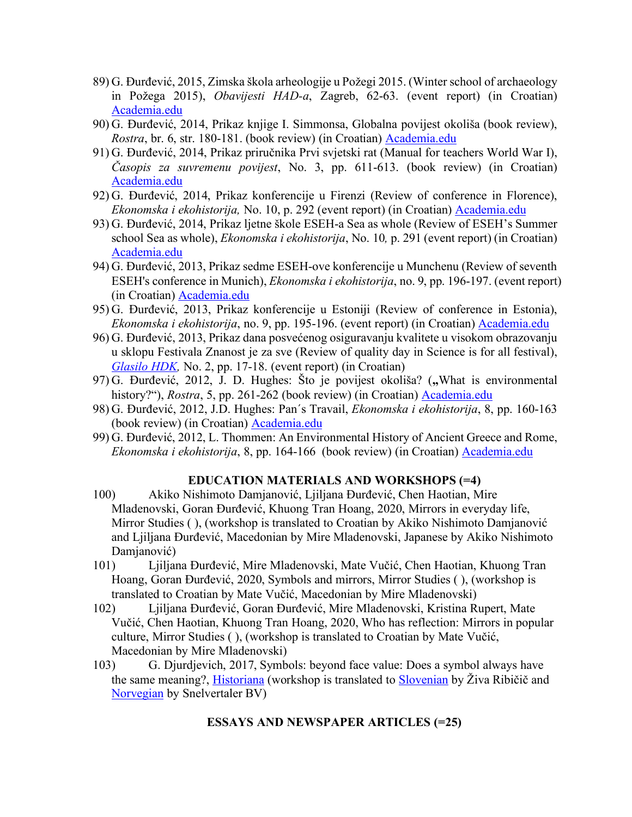- 89) G. Đurđević, 2015, Zimska škola arheologije u Požegi 2015. (Winter school of archaeology in Požega 2015), *Obavijesti HAD-a*, Zagreb, 62-63. (event report) (in Croatian) Academia.edu
- 90) G. Đurđević, 2014, Prikaz knjige I. Simmonsa, Globalna povijest okoliša (book review), *Rostra*, br. 6, str. 180-181. (book review) (in Croatian) Academia.edu
- 91) G. Đurđević, 2014, Prikaz priručnika Prvi svjetski rat (Manual for teachers World War I), *Časopis za suvremenu povijest*, No. 3, pp. 611-613. (book review) (in Croatian) Academia.edu
- 92) G. Đurđević, 2014, Prikaz konferencije u Firenzi (Review of conference in Florence), *Ekonomska i ekohistorija,* No. 10, p. 292 (event report) (in Croatian) Academia.edu
- 93) G. Đurđević, 2014, Prikaz ljetne škole ESEH-a Sea as whole (Review of ESEH's Summer school Sea as whole), *Ekonomska i ekohistorija*, No. 10*,* p. 291 (event report) (in Croatian) Academia.edu
- 94) G. Đurđević, 2013, Prikaz sedme ESEH-ove konferencije u Munchenu (Review of seventh ESEH's conference in Munich), *Ekonomska i ekohistorija*, no. 9, pp. 196-197. (event report) (in Croatian) Academia.edu
- 95) G. Đurđević, 2013, Prikaz konferencije u Estoniji (Review of conference in Estonia), *Ekonomska i ekohistorija*, no. 9, pp. 195-196. (event report) (in Croatian) Academia.edu
- 96) G. Đurđević, 2013, Prikaz dana posvećenog osiguravanju kvalitete u visokom obrazovanju u sklopu Festivala Znanost je za sve (Review of quality day in Science is for all festival), *Glasilo HDK,* No. 2, pp. 17-18. (event report) (in Croatian)
- 97) G. Đurđević, 2012, J. D. Hughes: Što je povijest okoliša? (**"**What is environmental history?"), *Rostra*, 5, pp. 261-262 (book review) (in Croatian) Academia.edu
- 98) G. Đurđević, 2012, J.D. Hughes: Pan´s Travail, *Ekonomska i ekohistorija*, 8, pp. 160-163 (book review) (in Croatian) Academia.edu
- 99) G. Đurđević, 2012, L. Thommen: An Environmental History of Ancient Greece and Rome, *Ekonomska i ekohistorija*, 8, pp. 164-166 (book review) (in Croatian) Academia.edu

## **EDUCATION MATERIALS AND WORKSHOPS (=4)**

- 100) Akiko Nishimoto Damjanović, Ljiljana Đurđević, Chen Haotian, Mire Mladenovski, Goran Đurđević, Khuong Tran Hoang, 2020, Mirrors in everyday life, Mirror Studies ( ), (workshop is translated to Croatian by Akiko Nishimoto Damjanović and Ljiljana Đurđević, Macedonian by Mire Mladenovski, Japanese by Akiko Nishimoto Damjanović)
- 101) Ljiljana Đurđević, Mire Mladenovski, Mate Vučić, Chen Haotian, Khuong Tran Hoang, Goran Đurđević, 2020, Symbols and mirrors, Mirror Studies ( ), (workshop is translated to Croatian by Mate Vučić, Macedonian by Mire Mladenovski)
- 102) Ljiljana Đurđević, Goran Đurđević, Mire Mladenovski, Kristina Rupert, Mate Vučić, Chen Haotian, Khuong Tran Hoang, 2020, Who has reflection: Mirrors in popular culture, Mirror Studies ( ), (workshop is translated to Croatian by Mate Vučić, Macedonian by Mire Mladenovski)
- 103) G. Djurdjevich, 2017, Symbols: beyond face value: Does a symbol always have the same meaning?, Historiana (workshop is translated to Slovenian by Živa Ribičič and Norvegian by Snelvertaler BV)

#### **ESSAYS AND NEWSPAPER ARTICLES (=25)**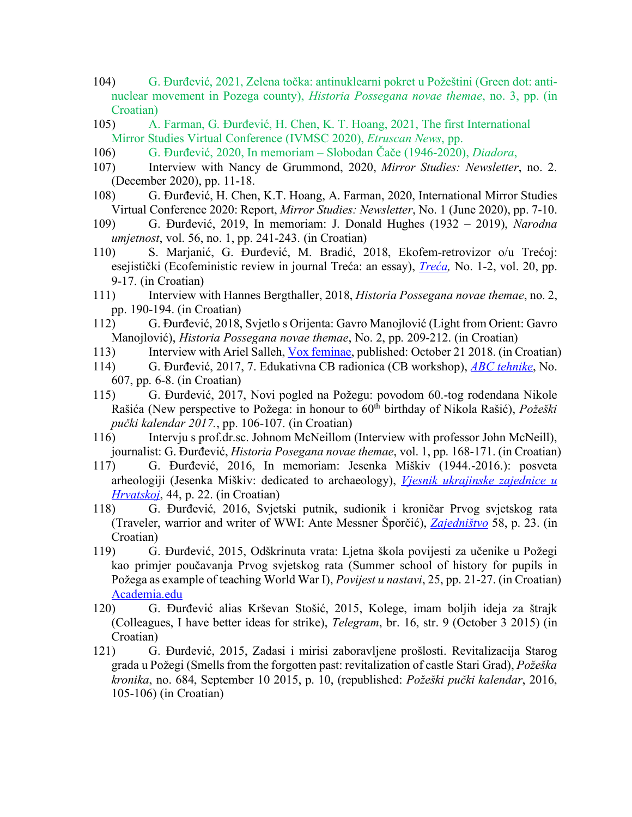- 104) G. Đurđević, 2021, Zelena točka: antinuklearni pokret u Požeštini (Green dot: antinuclear movement in Pozega county), *Historia Possegana novae themae*, no. 3, pp. (in Croatian)
- 105) A. Farman, G. Đurđević, H. Chen, K. T. Hoang, 2021, The first International Mirror Studies Virtual Conference (IVMSC 2020), *Etruscan News*, pp.
- 106) G. Đurđević, 2020, In memoriam Slobodan Čače (1946-2020), *Diadora*,
- 107) Interview with Nancy de Grummond, 2020, *Mirror Studies: Newsletter*, no. 2. (December 2020), pp. 11-18.
- 108) G. Đurđević, H. Chen, K.T. Hoang, A. Farman, 2020, International Mirror Studies Virtual Conference 2020: Report, *Mirror Studies: Newsletter*, No. 1 (June 2020), pp. 7-10.
- 109) G. Đurđević, 2019, In memoriam: J. Donald Hughes (1932 2019), *Narodna umjetnost*, vol. 56, no. 1, pp. 241-243. (in Croatian)
- 110) S. Marjanić, G. Đurđević, M. Bradić, 2018, Ekofem-retrovizor o/u Trećoj: esejistički (Ecofeministic review in journal Treća: an essay), *Treća,* No. 1-2, vol. 20, pp. 9-17. (in Croatian)
- 111) Interview with Hannes Bergthaller, 2018, *Historia Possegana novae themae*, no. 2, pp. 190-194. (in Croatian)
- 112) G. Đurđević, 2018, Svjetlo s Orijenta: Gavro Manojlović (Light from Orient: Gavro Manojlović), *Historia Possegana novae themae*, No. 2, pp. 209-212. (in Croatian)
- 113) Interview with Ariel Salleh, Vox feminae, published: October 21 2018. (in Croatian)
- 114) G. Đurđević, 2017, 7. Edukativna CB radionica (CB workshop), *ABC tehnike*, No. 607, pp. 6-8. (in Croatian)
- 115) G. Đurđević, 2017, Novi pogled na Požegu: povodom 60.-tog rođendana Nikole Rašića (New perspective to Požega: in honour to 60th birthday of Nikola Rašić), *Požeški pučki kalendar 2017.*, pp. 106-107. (in Croatian)
- 116) Intervju s prof.dr.sc. Johnom McNeillom (Interview with professor John McNeill), journalist: G. Đurđević, *Historia Posegana novae themae*, vol. 1, pp. 168-171. (in Croatian)
- 117) G. Đurđević, 2016, In memoriam: Jesenka Miškiv (1944.-2016.): posveta arheologiji (Jesenka Miškiv: dedicated to archaeology), *Vjesnik ukrajinske zajednice u Hrvatskoj*, 44, p. 22. (in Croatian)
- 118) G. Đurđević, 2016, Svjetski putnik, sudionik i kroničar Prvog svjetskog rata (Traveler, warrior and writer of WWI: Ante Messner Šporčić), *Zajedništvo* 58, p. 23. (in Croatian)
- 119) G. Đurđević, 2015, Odškrinuta vrata: Ljetna škola povijesti za učenike u Požegi kao primjer poučavanja Prvog svjetskog rata (Summer school of history for pupils in Požega as example of teaching World War I), *Povijest u nastavi*, 25, pp. 21-27. (in Croatian) Academia.edu
- 120) G. Đurđević alias Krševan Stošić, 2015, Kolege, imam boljih ideja za štrajk (Colleagues, I have better ideas for strike), *Telegram*, br. 16, str. 9 (October 3 2015) (in Croatian)
- 121) G. Đurđević, 2015, Zadasi i mirisi zaboravljene prošlosti. Revitalizacija Starog grada u Požegi (Smells from the forgotten past: revitalization of castle Stari Grad), *Požeška kronika*, no. 684, September 10 2015, p. 10, (republished: *Požeški pučki kalendar*, 2016, 105-106) (in Croatian)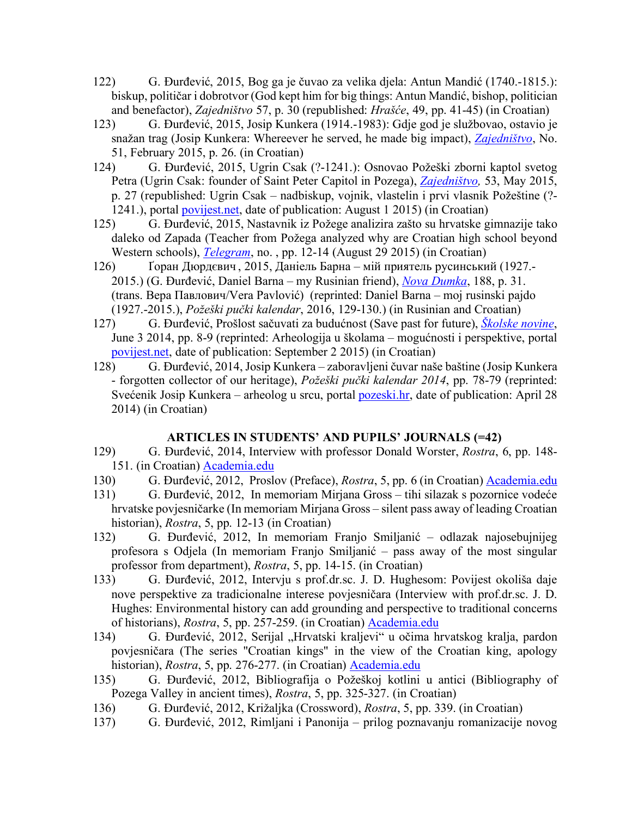- 122) G. Đurđević, 2015, Bog ga je čuvao za velika djela: Antun Mandić (1740.-1815.): biskup, političar i dobrotvor (God kept him for big things: Antun Mandić, bishop, politician and benefactor), *Zajedništvo* 57, p. 30 (republished: *Hrašće*, 49, pp. 41-45) (in Croatian)
- 123) G. Đurđević, 2015, Josip Kunkera (1914.-1983): Gdje god je službovao, ostavio je snažan trag (Josip Kunkera: Whereever he served, he made big impact), *Zajedništvo*, No. 51, February 2015, p. 26. (in Croatian)
- 124) G. Đurđević, 2015, Ugrin Csak (?-1241.): Osnovao Požeški zborni kaptol svetog Petra (Ugrin Csak: founder of Saint Peter Capitol in Pozega), *Zajedništvo,* 53, May 2015, p. 27 (republished: Ugrin Csak – nadbiskup, vojnik, vlastelin i prvi vlasnik Požeštine (?- 1241.), portal povijest.net, date of publication: August 1 2015) (in Croatian)
- 125) G. Đurđević, 2015, Nastavnik iz Požege analizira zašto su hrvatske gimnazije tako daleko od Zapada (Teacher from Požega analyzed why are Croatian high school beyond Western schools), *Telegram*, no. , pp. 12-14 (August 29 2015) (in Croatian)
- 126) Ґоран Дюрдєвич , 2015, Даніель Барна мій приятель русинський (1927.- 2015.) (G. Đurđević, Daniel Barna – my Rusinian friend), *Nova Dumka*, 188, p. 31. (trans. Вера Павлович/Vera Pavlović) (reprinted: Daniel Barna – moj rusinski pajdo (1927.-2015.), *Požeški pučki kalendar*, 2016, 129-130.) (in Rusinian and Croatian)
- 127) G. Đurđević, Prošlost sačuvati za budućnost (Save past for future), *Školske novine*, June 3 2014, pp. 8-9 (reprinted: Arheologija u školama – mogućnosti i perspektive, portal povijest.net, date of publication: September 2 2015) (in Croatian)
- 128) G. Đurđević, 2014, Josip Kunkera zaboravljeni čuvar naše baštine (Josip Kunkera - forgotten collector of our heritage), *Požeški pučki kalendar 2014*, pp. 78-79 (reprinted: Svećenik Josip Kunkera – arheolog u srcu, portal pozeski.hr, date of publication: April 28 2014) (in Croatian)

# **ARTICLES IN STUDENTS' AND PUPILS' JOURNALS (=42)**

- 129) G. Đurđević, 2014, Interview with professor Donald Worster, *Rostra*, 6, pp. 148- 151. (in Croatian) Academia.edu
- 130) G. Đurđević, 2012, Proslov (Preface), *Rostra*, 5, pp. 6 (in Croatian) Academia.edu
- 131) G. Đurđević, 2012, In memoriam Mirjana Gross tihi silazak s pozornice vodeće hrvatske povjesničarke (In memoriam Mirjana Gross – silent pass away of leading Croatian historian), *Rostra*, 5, pp. 12-13 (in Croatian)
- 132) G. Đurđević, 2012, In memoriam Franjo Smiljanić odlazak najosebujnijeg profesora s Odjela (In memoriam Franjo Smiljanić – pass away of the most singular professor from department), *Rostra*, 5, pp. 14-15. (in Croatian)
- 133) G. Đurđević, 2012, Intervju s prof.dr.sc. J. D. Hughesom: Povijest okoliša daje nove perspektive za tradicionalne interese povjesničara (Interview with prof.dr.sc. J. D. Hughes: Environmental history can add grounding and perspective to traditional concerns of historians), *Rostra*, 5, pp. 257-259. (in Croatian) Academia.edu
- 134) G. Đurđević, 2012, Serijal "Hrvatski kraljevi" u očima hrvatskog kralja, pardon povjesničara (The series "Croatian kings" in the view of the Croatian king, apology historian), *Rostra*, 5, pp. 276-277. (in Croatian) Academia.edu
- 135) G. Đurđević, 2012, Bibliografija o Požeškoj kotlini u antici (Bibliography of Pozega Valley in ancient times), *Rostra*, 5, pp. 325-327. (in Croatian)
- 136) G. Đurđević, 2012, Križaljka (Crossword), *Rostra*, 5, pp. 339. (in Croatian)
- 137) G. Đurđević, 2012, Rimljani i Panonija prilog poznavanju romanizacije novog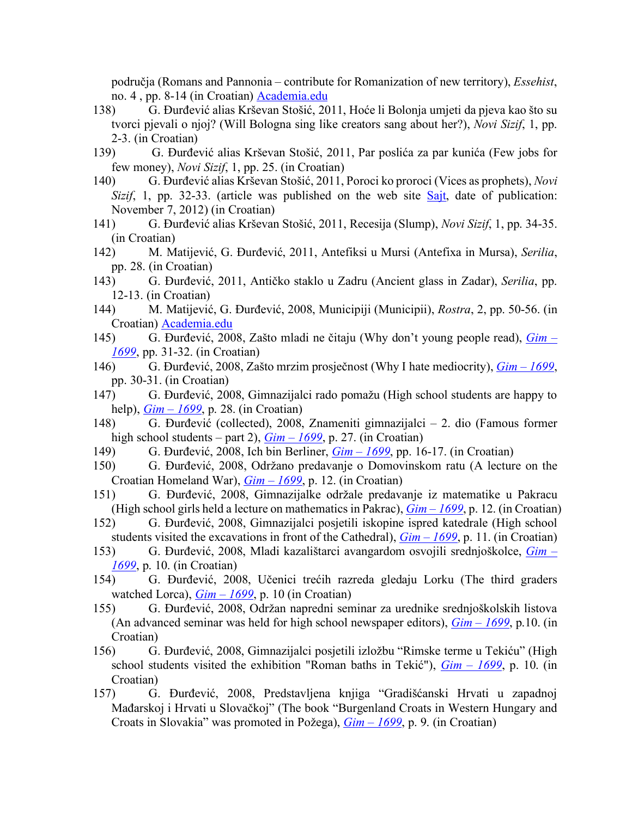područja (Romans and Pannonia – contribute for Romanization of new territory), *Essehist*, no. 4 , pp. 8-14 (in Croatian) Academia.edu

- 138) G. Đurđević alias Krševan Stošić, 2011, Hoće li Bolonja umjeti da pjeva kao što su tvorci pjevali o njoj? (Will Bologna sing like creators sang about her?), *Novi Sizif*, 1, pp. 2-3. (in Croatian)
- 139) G. Đurđević alias Krševan Stošić, 2011, Par poslića za par kunića (Few jobs for few money), *Novi Sizif*, 1, pp. 25. (in Croatian)
- 140) G. Đurđević alias Krševan Stošić, 2011, Poroci ko proroci (Vices as prophets), *Novi Sizif*, 1, pp. 32-33. (article was published on the web site Sajt, date of publication: November 7, 2012) (in Croatian)
- 141) G. Đurđević alias Krševan Stošić, 2011, Recesija (Slump), *Novi Sizif*, 1, pp. 34-35. (in Croatian)
- 142) M. Matijević, G. Đurđević, 2011, Antefiksi u Mursi (Antefixa in Mursa), *Serilia*, pp. 28. (in Croatian)
- 143) G. Đurđević, 2011, Antičko staklo u Zadru (Ancient glass in Zadar), *Serilia*, pp. 12-13. (in Croatian)
- 144) M. Matijević, G. Đurđević, 2008, Municipiji (Municipii), *Rostra*, 2, pp. 50-56. (in Croatian) Academia.edu
- 145) G. Đurđević, 2008, Zašto mladi ne čitaju (Why don't young people read), *Gim – 1699*, pp. 31-32. (in Croatian)
- 146) G. Đurđević, 2008, Zašto mrzim prosječnost (Why I hate mediocrity), *Gim – 1699*, pp. 30-31. (in Croatian)
- 147) G. Đurđević, 2008, Gimnazijalci rado pomažu (High school students are happy to help), *Gim – 1699*, p. 28. (in Croatian)
- 148) G. Đurđević (collected), 2008, Znameniti gimnazijalci 2. dio (Famous former high school students – part 2),  $Gim - 1699$ , p. 27. (in Croatian)
- 149) G. Đurđević, 2008, Ich bin Berliner, *Gim – 1699*, pp. 16-17. (in Croatian)
- 150) G. Đurđević, 2008, Održano predavanje o Domovinskom ratu (A lecture on the Croatian Homeland War), *Gim – 1699*, p. 12. (in Croatian)
- 151) G. Đurđević, 2008, Gimnazijalke održale predavanje iz matematike u Pakracu (High school girls held a lecture on mathematics in Pakrac), *Gim – 1699*, p. 12. (in Croatian)
- 152) G. Đurđević, 2008, Gimnazijalci posjetili iskopine ispred katedrale (High school students visited the excavations in front of the Cathedral), *Gim – 1699*, p. 11. (in Croatian)
- 153) G. Đurđević, 2008, Mladi kazalištarci avangardom osvojili srednjoškolce, *Gim – 1699*, p. 10. (in Croatian)
- 154) G. Đurđević, 2008, Učenici trećih razreda gledaju Lorku (The third graders watched Lorca), *Gim – 1699*, p. 10 (in Croatian)
- 155) G. Đurđević, 2008, Održan napredni seminar za urednike srednjoškolskih listova (An advanced seminar was held for high school newspaper editors), *Gim – 1699*, p.10. (in Croatian)
- 156) G. Đurđević, 2008, Gimnazijalci posjetili izložbu "Rimske terme u Tekiću" (High school students visited the exhibition "Roman baths in Tekić"), *Gim – 1699*, p. 10. (in Croatian)
- 157) G. Đurđević, 2008, Predstavljena knjiga "Gradišćanski Hrvati u zapadnoj Mađarskoj i Hrvati u Slovačkoj" (The book "Burgenland Croats in Western Hungary and Croats in Slovakia" was promoted in Požega), *Gim – 1699*, p. 9. (in Croatian)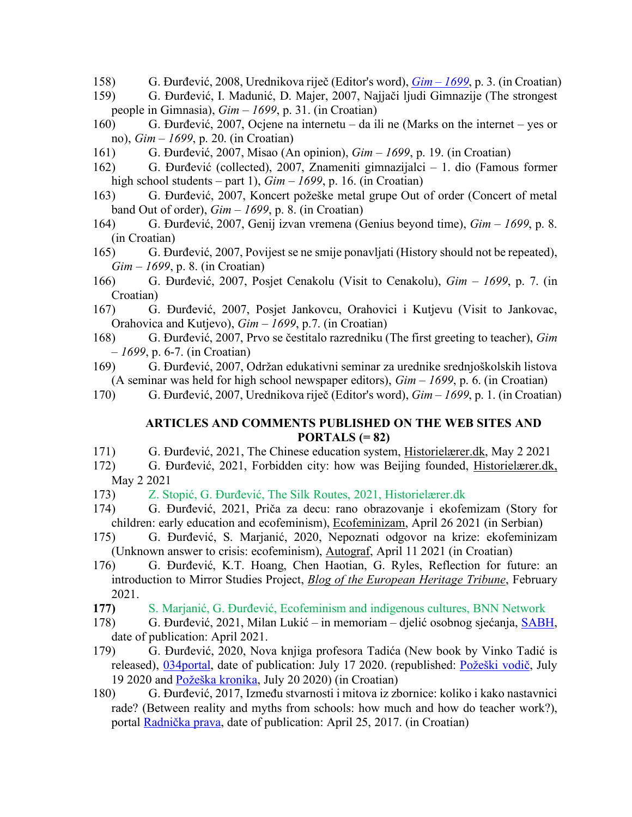- 158) G. Đurđević, 2008, Urednikova riječ (Editor's word), *Gim – 1699*, p. 3. (in Croatian)
- 159) G. Đurđević, I. Madunić, D. Majer, 2007, Najjači ljudi Gimnazije (The strongest people in Gimnasia), *Gim – 1699*, p. 31. (in Croatian)
- 160) G. Đurđević, 2007, Ocjene na internetu da ili ne (Marks on the internet yes or no), *Gim – 1699*, p. 20. (in Croatian)
- 161) G. Đurđević, 2007, Misao (An opinion), *Gim – 1699*, p. 19. (in Croatian)
- 162) G. Đurđević (collected), 2007, Znameniti gimnazijalci 1. dio (Famous former high school students – part 1), *Gim – 1699*, p. 16. (in Croatian)
- 163) G. Đurđević, 2007, Koncert požeške metal grupe Out of order (Concert of metal band Out of order), *Gim – 1699*, p. 8. (in Croatian)
- 164) G. Đurđević, 2007, Genij izvan vremena (Genius beyond time), *Gim – 1699*, p. 8. (in Croatian)
- 165) G. Đurđević, 2007, Povijest se ne smije ponavljati (History should not be repeated), *Gim – 1699*, p. 8. (in Croatian)
- 166) G. Đurđević, 2007, Posjet Cenakolu (Visit to Cenakolu), *Gim – 1699*, p. 7. (in Croatian)
- 167) G. Đurđević, 2007, Posjet Jankovcu, Orahovici i Kutjevu (Visit to Jankovac, Orahovica and Kutjevo), *Gim – 1699*, p.7. (in Croatian)
- 168) G. Đurđević, 2007, Prvo se čestitalo razredniku (The first greeting to teacher), *Gim – 1699*, p. 6-7. (in Croatian)
- 169) G. Đurđević, 2007, Održan edukativni seminar za urednike srednjoškolskih listova (A seminar was held for high school newspaper editors), *Gim – 1699*, p. 6. (in Croatian)
- 170) G. Đurđević, 2007, Urednikova riječ (Editor's word), *Gim – 1699*, p. 1. (in Croatian)

## **ARTICLES AND COMMENTS PUBLISHED ON THE WEB SITES AND PORTALS (= 82)**

- 171) G. Đurđević, 2021, The Chinese education system, Historielærer.dk, May 2 2021
- 172) G. Đurđević, 2021, Forbidden city: how was Beijing founded, Historielærer.dk, May 2 2021
- 173) Z. Stopić, G. Đurđević, The Silk Routes, 2021, Historielærer.dk
- 174) G. Đurđević, 2021, Priča za decu: rano obrazovanje i ekofemizam (Story for children: early education and ecofeminism), Ecofeminizam, April 26 2021 (in Serbian)
- 175) G. Đurđević, S. Marjanić, 2020, Nepoznati odgovor na krize: ekofeminizam (Unknown answer to crisis: ecofeminism), Autograf, April 11 2021 (in Croatian)
- 176) G. Đurđević, K.T. Hoang, Chen Haotian, G. Ryles, Reflection for future: an introduction to Mirror Studies Project, *Blog of the European Heritage Tribune*, February 2021.
- **177)** S. Marjanić, G. Đurđević, Ecofeminism and indigenous cultures, BNN Network
- 178) G. Đurđević, 2021, Milan Lukić in memoriam djelić osobnog sjećanja, SABH, date of publication: April 2021.
- 179) G. Đurđević, 2020, Nova knjiga profesora Tadića (New book by Vinko Tadić is released), 034 portal, date of publication: July 17 2020. (republished: Požeški vodič, July 19 2020 and Požeška kronika, July 20 2020) (in Croatian)
- 180) G. Đurđević, 2017, Između stvarnosti i mitova iz zbornice: koliko i kako nastavnici rade? (Between reality and myths from schools: how much and how do teacher work?), portal Radnička prava, date of publication: April 25, 2017. (in Croatian)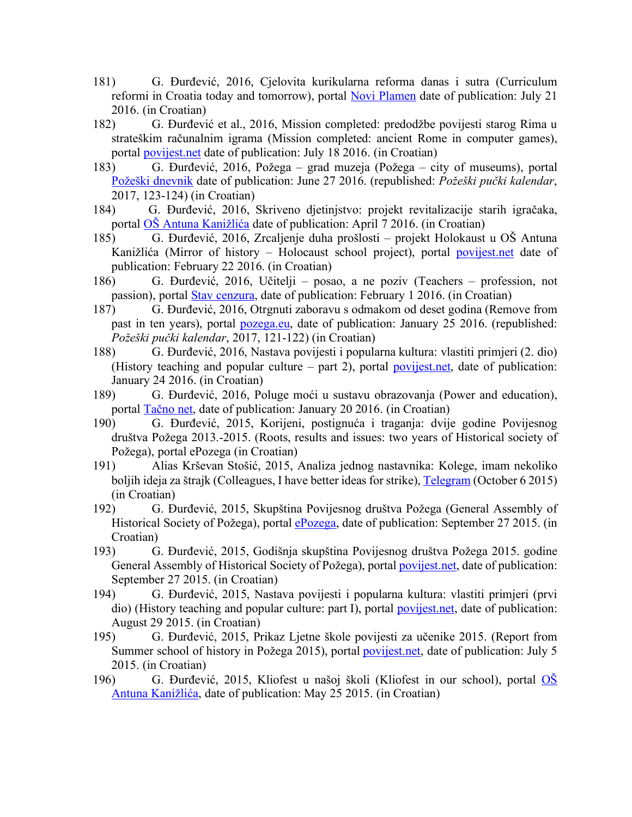- 181) G. Đurđević, 2016, Cjelovita kurikularna reforma danas i sutra (Curriculum reformi in Croatia today and tomorrow), portal Novi Plamen date of publication: July 21 2016. (in Croatian)
- 182) G. Đurđević et al., 2016, Mission completed: predodžbe povijesti starog Rima u strateškim računalnim igrama (Mission completed: ancient Rome in computer games), portal povijest.net date of publication: July 18 2016. (in Croatian)
- 183) G. Đurđević, 2016, Požega grad muzeja (Požega city of museums), portal Požeški dnevnik date of publication: June 27 2016. (republished: *Požeški pučki kalendar*, 2017, 123-124) (in Croatian)
- 184) G. Đurđević, 2016, Skriveno djetinjstvo: projekt revitalizacije starih igračaka, portal OŠ Antuna Kanižlića date of publication: April 7 2016. (in Croatian)
- 185) G. Đurđević, 2016, Zrcaljenje duha prošlosti projekt Holokaust u OŠ Antuna Kanižlića (Mirror of history – Holocaust school project), portal povijest.net date of publication: February 22 2016. (in Croatian)
- 186) G. Đurđević, 2016, Učitelji posao, a ne poziv (Teachers profession, not passion), portal Stav cenzura, date of publication: February 1 2016. (in Croatian)
- 187) G. Đurđević, 2016, Otrgnuti zaboravu s odmakom od deset godina (Remove from past in ten years), portal pozega.eu, date of publication: January 25 2016. (republished: *Požeški pučki kalendar*, 2017, 121-122) (in Croatian)
- 188) G. Đurđević, 2016, Nastava povijesti i popularna kultura: vlastiti primjeri (2. dio) (History teaching and popular culture – part 2), portal povijest.net, date of publication: January 24 2016. (in Croatian)
- 189) G. Đurđević, 2016, Poluge moći u sustavu obrazovanja (Power and education), portal Tačno net, date of publication: January 20 2016. (in Croatian)
- 190) G. Đurđević, 2015, Korijeni, postignuća i traganja: dvije godine Povijesnog društva Požega 2013.-2015. (Roots, results and issues: two years of Historical society of Požega), portal ePozega (in Croatian)
- 191) Alias Krševan Stošić, 2015, Analiza jednog nastavnika: Kolege, imam nekoliko boljih ideja za štrajk (Colleagues, I have better ideas for strike), Telegram (October 6 2015) (in Croatian)
- 192) G. Đurđević, 2015, Skupština Povijesnog društva Požega (General Assembly of Historical Society of Požega), portal ePozega, date of publication: September 27 2015. (in Croatian)
- 193) G. Đurđević, 2015, Godišnja skupština Povijesnog društva Požega 2015. godine General Assembly of Historical Society of Požega), portal **povijest.net**, date of publication: September 27 2015. (in Croatian)
- 194) G. Đurđević, 2015, Nastava povijesti i popularna kultura: vlastiti primjeri (prvi dio) (History teaching and popular culture: part I), portal povijest.net, date of publication: August 29 2015. (in Croatian)
- 195) G. Đurđević, 2015, Prikaz Ljetne škole povijesti za učenike 2015. (Report from Summer school of history in Požega 2015), portal povijest.net, date of publication: July 5 2015. (in Croatian)
- 196) G. Đurđević, 2015, Kliofest u našoj školi (Kliofest in our school), portal OŠ Antuna Kanižlića, date of publication: May 25 2015. (in Croatian)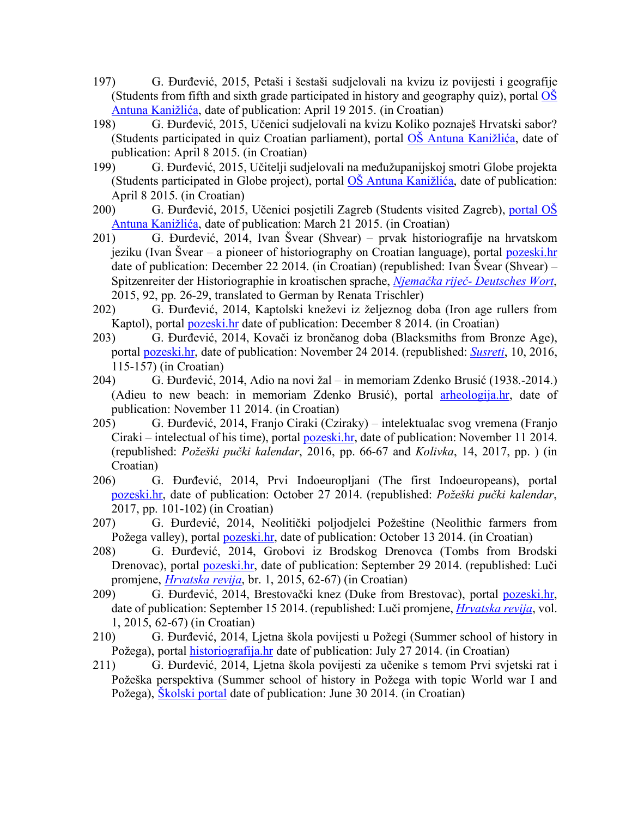- 197) G. Đurđević, 2015, Petaši i šestaši sudjelovali na kvizu iz povijesti i geografije (Students from fifth and sixth grade participated in history and geography quiz), portal  $\overrightarrow{OS}$ Antuna Kanižlića, date of publication: April 19 2015. (in Croatian)
- 198) G. Đurđević, 2015, Učenici sudjelovali na kvizu Koliko poznaješ Hrvatski sabor? (Students participated in quiz Croatian parliament), portal OŠ Antuna Kanižlića, date of publication: April 8 2015. (in Croatian)
- 199) G. Đurđević, 2015, Učitelji sudjelovali na međužupanijskoj smotri Globe projekta (Students participated in Globe project), portal OŠ Antuna Kanižlića, date of publication: April 8 2015. (in Croatian)
- 200) G. Đurđević, 2015, Učenici posjetili Zagreb (Students visited Zagreb), portal OŠ Antuna Kanižlića, date of publication: March 21 2015. (in Croatian)
- 201) G. Đurđević, 2014, Ivan Švear (Shvear) prvak historiografije na hrvatskom jeziku (Ivan Švear – a pioneer of historiography on Croatian language), portal pozeski.hr date of publication: December 22 2014. (in Croatian) (republished: Ivan Švear (Shvear) – Spitzenreiter der Historiographie in kroatischen sprache, *Njemačka riječ- Deutsches Wort*, 2015, 92, pp. 26-29, translated to German by Renata Trischler)
- 202) G. Đurđević, 2014, Kaptolski kneževi iz željeznog doba (Iron age rullers from Kaptol), portal pozeski.hr date of publication: December 8 2014. (in Croatian)
- 203) G. Đurđević, 2014, Kovači iz brončanog doba (Blacksmiths from Bronze Age), portal pozeski.hr, date of publication: November 24 2014. (republished: *Susreti*, 10, 2016, 115-157) (in Croatian)
- 204) G. Đurđević, 2014, Adio na novi žal in memoriam Zdenko Brusić (1938.-2014.) (Adieu to new beach: in memoriam Zdenko Brusić), portal arheologija.hr, date of publication: November 11 2014. (in Croatian)
- 205) G. Đurđević, 2014, Franjo Ciraki (Cziraky) intelektualac svog vremena (Franjo Ciraki – intelectual of his time), portal pozeski.hr, date of publication: November 11 2014. (republished: *Požeški pučki kalendar*, 2016, pp. 66-67 and *Kolivka*, 14, 2017, pp. ) (in Croatian)
- 206) G. Đurđević, 2014, Prvi Indoeuropljani (The first Indoeuropeans), portal pozeski.hr, date of publication: October 27 2014. (republished: *Požeški pučki kalendar*, 2017, pp. 101-102) (in Croatian)
- 207) G. Đurđević, 2014, Neolitički poljodjelci Požeštine (Neolithic farmers from Požega valley), portal pozeski.hr, date of publication: October 13 2014. (in Croatian)
- 208) G. Đurđević, 2014, Grobovi iz Brodskog Drenovca (Tombs from Brodski Drenovac), portal pozeski.hr, date of publication: September 29 2014. (republished: Luči promjene, *Hrvatska revija*, br. 1, 2015, 62-67) (in Croatian)
- 209) G. Đurđević, 2014, Brestovački knez (Duke from Brestovac), portal pozeski.hr, date of publication: September 15 2014. (republished: Luči promjene, *Hrvatska revija*, vol. 1, 2015, 62-67) (in Croatian)
- 210) G. Đurđević, 2014, Ljetna škola povijesti u Požegi (Summer school of history in Požega), portal historiografija.hr date of publication: July 27 2014. (in Croatian)
- 211) G. Đurđević, 2014, Ljetna škola povijesti za učenike s temom Prvi svjetski rat i Požeška perspektiva (Summer school of history in Požega with topic World war I and Požega), Školski portal date of publication: June 30 2014. (in Croatian)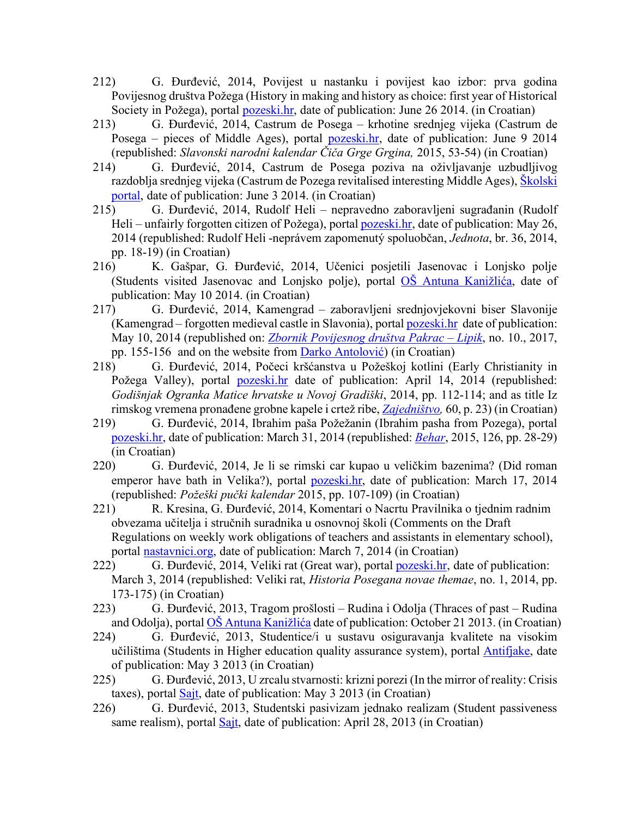- 212) G. Đurđević, 2014, Povijest u nastanku i povijest kao izbor: prva godina Povijesnog društva Požega (History in making and history as choice: first year of Historical Society in Požega), portal pozeski.hr, date of publication: June 26 2014. (in Croatian)
- 213) G. Đurđević, 2014, Castrum de Posega krhotine srednjeg vijeka (Castrum de Posega – pieces of Middle Ages), portal pozeski.hr, date of publication: June 9 2014 (republished: *Slavonski narodni kalendar Čiča Grge Grgina,* 2015, 53-54) (in Croatian)
- 214) G. Đurđević, 2014, Castrum de Posega poziva na oživljavanje uzbudljivog razdoblja srednjeg vijeka (Castrum de Pozega revitalised interesting Middle Ages), Školski portal, date of publication: June 3 2014. (in Croatian)
- 215) G. Đurđević, 2014, Rudolf Heli nepravedno zaboravljeni sugrađanin (Rudolf Heli – unfairly forgotten citizen of Požega), portal pozeski.hr, date of publication: May 26, 2014 (republished: Rudolf Heli -neprávem zapomenutý spoluobčan, *Jednota*, br. 36, 2014, pp. 18-19) (in Croatian)
- 216) K. Gašpar, G. Đurđević, 2014, Učenici posjetili Jasenovac i Lonjsko polje (Students visited Jasenovac and Lonjsko polje), portal OŠ Antuna Kanižlića, date of publication: May 10 2014. (in Croatian)
- 217) G. Đurđević, 2014, Kamengrad zaboravljeni srednjovjekovni biser Slavonije (Kamengrad – forgotten medieval castle in Slavonia), portal pozeski.hr date of publication: May 10, 2014 (republished on: *Zbornik Povijesnog društva Pakrac – Lipik*, no. 10., 2017, pp. 155-156 and on the website from Darko Antolović) (in Croatian)
- 218) G. Đurđević, 2014, Počeci kršćanstva u Požeškoj kotlini (Early Christianity in Požega Valley), portal pozeski.hr date of publication: April 14, 2014 (republished: *Godišnjak Ogranka Matice hrvatske u Novoj Gradiški*, 2014, pp. 112-114; and as title Iz rimskog vremena pronađene grobne kapele i crtež ribe, *Zajedništvo,* 60, p. 23) (in Croatian)
- 219) G. Đurđević, 2014, Ibrahim paša Požežanin (Ibrahim pasha from Pozega), portal pozeski.hr, date of publication: March 31, 2014 (republished: *Behar*, 2015, 126, pp. 28-29) (in Croatian)
- 220) G. Đurđević, 2014, Je li se rimski car kupao u veličkim bazenima? (Did roman emperor have bath in Velika?), portal **pozeski.hr**, date of publication: March 17, 2014 (republished: *Požeški pučki kalendar* 2015, pp. 107-109) (in Croatian)
- 221) R. Kresina, G. Đurđević, 2014, Komentari o Nacrtu Pravilnika o tjednim radnim obvezama učitelja i stručnih suradnika u osnovnoj školi (Comments on the Draft Regulations on weekly work obligations of teachers and assistants in elementary school), portal nastavnici.org, date of publication: March 7, 2014 (in Croatian)
- 222) G. Đurđević, 2014, Veliki rat (Great war), portal <u>pozeski.hr</u>, date of publication: March 3, 2014 (republished: Veliki rat, *Historia Posegana novae themae*, no. 1, 2014, pp. 173-175) (in Croatian)
- 223) G. Đurđević, 2013, Tragom prošlosti Rudina i Odolja (Thraces of past Rudina and Odolja), portal OŠ Antuna Kanižlića date of publication: October 21 2013. (in Croatian)
- 224) G. Đurđević, 2013, Studentice/i u sustavu osiguravanja kvalitete na visokim učilištima (Students in Higher education quality assurance system), portal Antifjake, date of publication: May 3 2013 (in Croatian)
- 225) G. Đurđević, 2013, U zrcalu stvarnosti: krizni porezi (In the mirror of reality: Crisis taxes), portal Sajt, date of publication: May 3 2013 (in Croatian)
- 226) G. Đurđević, 2013, Studentski pasivizam jednako realizam (Student passiveness same realism), portal Sajt, date of publication: April 28, 2013 (in Croatian)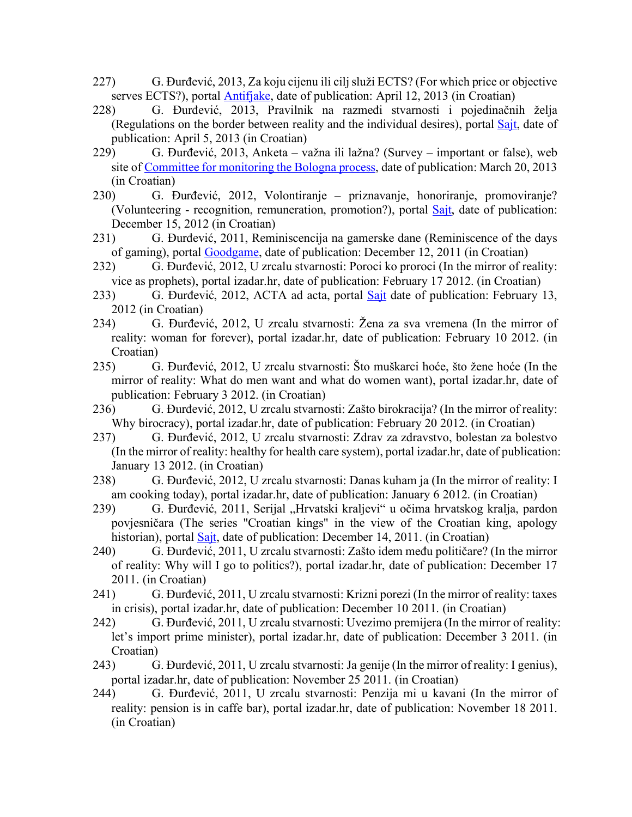- 227) G. Đurđević, 2013, Za koju cijenu ili cilj služi ECTS? (For which price or objective serves ECTS?), portal **Antifiake**, date of publication: April 12, 2013 (in Croatian)
- 228) G. Đurđević, 2013, Pravilnik na razmeđi stvarnosti i pojedinačnih želja (Regulations on the border between reality and the individual desires), portal Sajt, date of publication: April 5, 2013 (in Croatian)
- 229) G. Đurđević, 2013, Anketa važna ili lažna? (Survey important or false), web site of Committee for monitoring the Bologna process, date of publication: March 20, 2013 (in Croatian)
- 230) G. Đurđević, 2012, Volontiranje priznavanje, honoriranje, promoviranje? (Volunteering - recognition, remuneration, promotion?), portal Sajt, date of publication: December 15, 2012 (in Croatian)
- 231) G. Đurđević, 2011, Reminiscencija na gamerske dane (Reminiscence of the days of gaming), portal Goodgame, date of publication: December 12, 2011 (in Croatian)
- 232) G. Đurđević, 2012, U zrcalu stvarnosti: Poroci ko proroci (In the mirror of reality: vice as prophets), portal izadar.hr, date of publication: February 17 2012. (in Croatian)
- 233) G. Đurđević, 2012, ACTA ad acta, portal Sajt date of publication: February 13, 2012 (in Croatian)
- 234) G. Đurđević, 2012, U zrcalu stvarnosti: Žena za sva vremena (In the mirror of reality: woman for forever), portal izadar.hr, date of publication: February 10 2012. (in Croatian)
- 235) G. Đurđević, 2012, U zrcalu stvarnosti: Što muškarci hoće, što žene hoće (In the mirror of reality: What do men want and what do women want), portal izadar.hr, date of publication: February 3 2012. (in Croatian)
- 236) G. Đurđević, 2012, U zrcalu stvarnosti: Zašto birokracija? (In the mirror of reality: Why birocracy), portal izadar.hr, date of publication: February 20 2012. (in Croatian)
- 237) G. Đurđević, 2012, U zrcalu stvarnosti: Zdrav za zdravstvo, bolestan za bolestvo (In the mirror of reality: healthy for health care system), portal izadar.hr, date of publication: January 13 2012. (in Croatian)
- 238) G. Đurđević, 2012, U zrcalu stvarnosti: Danas kuham ja (In the mirror of reality: I am cooking today), portal izadar.hr, date of publication: January 6 2012. (in Croatian)
- 239) G. Đurđević, 2011, Serijal "Hrvatski kraljevi" u očima hrvatskog kralja, pardon povjesničara (The series "Croatian kings" in the view of the Croatian king, apology historian), portal Sajt, date of publication: December 14, 2011. (in Croatian)
- 240) G. Đurđević, 2011, U zrcalu stvarnosti: Zašto idem među političare? (In the mirror of reality: Why will I go to politics?), portal izadar.hr, date of publication: December 17 2011. (in Croatian)
- 241) G. Đurđević, 2011, U zrcalu stvarnosti: Krizni porezi (In the mirror of reality: taxes in crisis), portal izadar.hr, date of publication: December 10 2011. (in Croatian)
- 242) G. Đurđević, 2011, U zrcalu stvarnosti: Uvezimo premijera (In the mirror of reality: let's import prime minister), portal izadar.hr, date of publication: December 3 2011. (in Croatian)
- 243) G. Đurđević, 2011, U zrcalu stvarnosti: Ja genije (In the mirror of reality: I genius), portal izadar.hr, date of publication: November 25 2011. (in Croatian)
- 244) G. Đurđević, 2011, U zrcalu stvarnosti: Penzija mi u kavani (In the mirror of reality: pension is in caffe bar), portal izadar.hr, date of publication: November 18 2011. (in Croatian)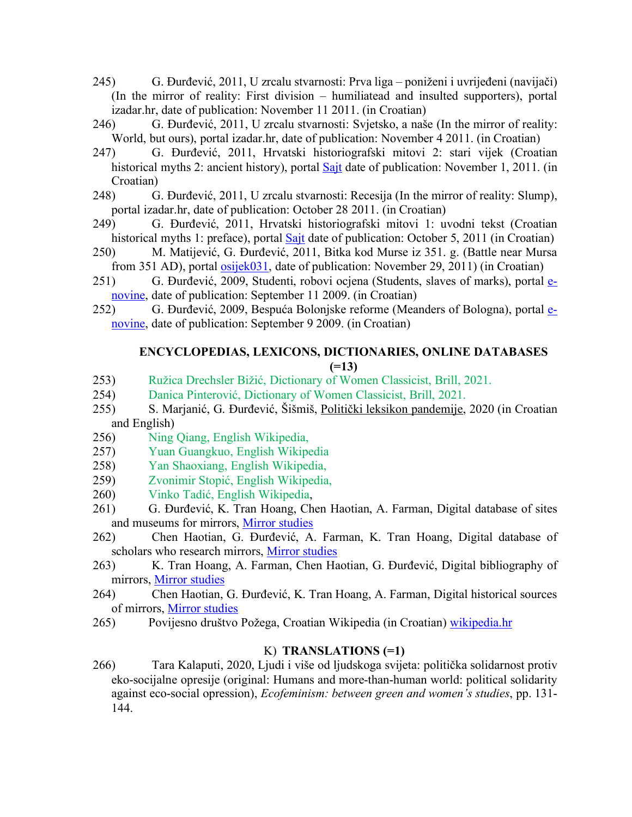- 245) G. Đurđević, 2011, U zrcalu stvarnosti: Prva liga poniženi i uvrijeđeni (navijači) (In the mirror of reality: First division – humiliatead and insulted supporters), portal izadar.hr, date of publication: November 11 2011. (in Croatian)
- 246) G. Đurđević, 2011, U zrcalu stvarnosti: Svjetsko, a naše (In the mirror of reality: World, but ours), portal izadar.hr, date of publication: November 4 2011. (in Croatian)
- 247) G. Đurđević, 2011, Hrvatski historiografski mitovi 2: stari vijek (Croatian historical myths 2: ancient history), portal Sajt date of publication: November 1, 2011. (in Croatian)
- 248) G. Đurđević, 2011, U zrcalu stvarnosti: Recesija (In the mirror of reality: Slump), portal izadar.hr, date of publication: October 28 2011. (in Croatian)
- 249) G. Đurđević, 2011, Hrvatski historiografski mitovi 1: uvodni tekst (Croatian historical myths 1: preface), portal **Sajt** date of publication: October 5, 2011 (in Croatian)
- 250) M. Matijević, G. Đurđević, 2011, Bitka kod Murse iz 351. g. (Battle near Mursa from 351 AD), portal **osijek031**, date of publication: November 29, 2011) (in Croatian)
- 251) G. Đurđević, 2009, Studenti, robovi ocjena (Students, slaves of marks), portal enovine, date of publication: September 11 2009. (in Croatian)
- 252) G. Đurđević, 2009, Bespuća Bolonjske reforme (Meanders of Bologna), portal enovine, date of publication: September 9 2009. (in Croatian)

## **ENCYCLOPEDIAS, LEXICONS, DICTIONARIES, ONLINE DATABASES (=13)**

- 253) Ružica Drechsler Bižić, Dictionary of Women Classicist, Brill, 2021.
- 254) Danica Pinterović, Dictionary of Women Classicist, Brill, 2021.
- 255) S. Marjanić, G. Đurđević, Šišmiš, Politički leksikon pandemije, 2020 (in Croatian and English)
- 256) Ning Qiang, English Wikipedia,
- 257) Yuan Guangkuo, English Wikipedia
- 258) Yan Shaoxiang, English Wikipedia,
- 259) Zvonimir Stopić, English Wikipedia,
- 260) Vinko Tadić, English Wikipedia,
- 261) G. Đurđević, K. Tran Hoang, Chen Haotian, A. Farman, Digital database of sites and museums for mirrors, Mirror studies
- 262) Chen Haotian, G. Đurđević, A. Farman, K. Tran Hoang, Digital database of scholars who research mirrors, Mirror studies
- 263) K. Tran Hoang, A. Farman, Chen Haotian, G. Đurđević, Digital bibliography of mirrors, Mirror studies
- 264) Chen Haotian, G. Đurđević, K. Tran Hoang, A. Farman, Digital historical sources of mirrors, Mirror studies
- 265) Povijesno društvo Požega, Croatian Wikipedia (in Croatian) wikipedia.hr

## K) **TRANSLATIONS (=1)**

266) Tara Kalaputi, 2020, Ljudi i više od ljudskoga svijeta: politička solidarnost protiv eko-socijalne opresije (original: Humans and more-than-human world: political solidarity against eco-social opression), *Ecofeminism: between green and women's studies*, pp. 131- 144.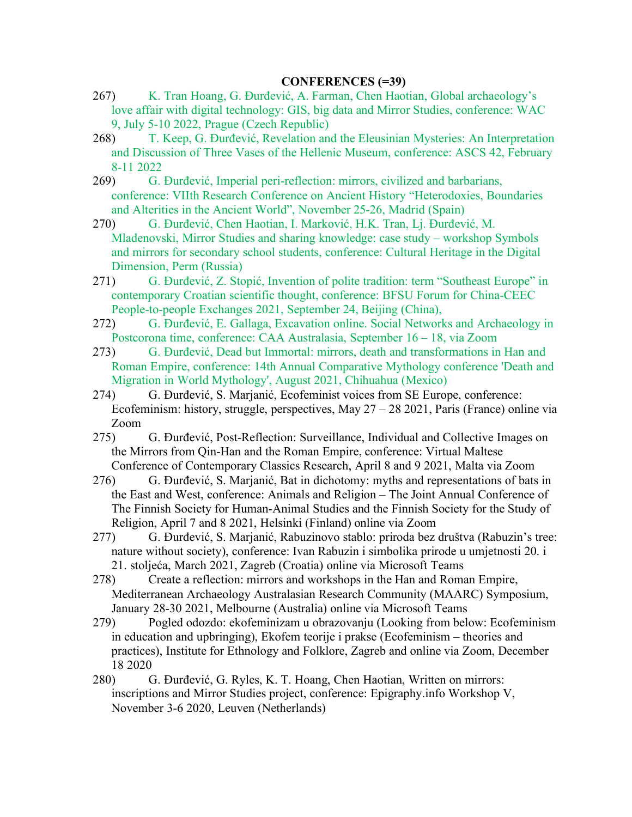### **CONFERENCES (=39)**

- 267) K. Tran Hoang, G. Đurđević, A. Farman, Chen Haotian, Global archaeology's love affair with digital technology: GIS, big data and Mirror Studies, conference: WAC 9, July 5-10 2022, Prague (Czech Republic)
- 268) T. Keep, G. Đurđević, Revelation and the Eleusinian Mysteries: An Interpretation and Discussion of Three Vases of the Hellenic Museum, conference: ASCS 42, February 8-11 2022
- 269) G. Đurđević, Imperial peri-reflection: mirrors, civilized and barbarians, conference: VIIth Research Conference on Ancient History "Heterodoxies, Boundaries and Alterities in the Ancient World", November 25-26, Madrid (Spain)
- 270) G. Đurđević, Chen Haotian, I. Marković, H.K. Tran, Lj. Đurđević, M. Mladenovski, Mirror Studies and sharing knowledge: case study – workshop Symbols and mirrors for secondary school students, conference: Cultural Heritage in the Digital Dimension, Perm (Russia)
- 271) G. Đurđević, Z. Stopić, Invention of polite tradition: term "Southeast Europe" in contemporary Croatian scientific thought, conference: BFSU Forum for China-CEEC People-to-people Exchanges 2021, September 24, Beijing (China),
- 272) G. Đurđević, E. Gallaga, Excavation online. Social Networks and Archaeology in Postcorona time, conference: CAA Australasia, September 16 – 18, via Zoom
- 273) G. Đurđević, Dead but Immortal: mirrors, death and transformations in Han and Roman Empire, conference: 14th Annual Comparative Mythology conference 'Death and Migration in World Mythology', August 2021, Chihuahua (Mexico)
- 274) G. Đurđević, S. Marjanić, Ecofeminist voices from SE Europe, conference: Ecofeminism: history, struggle, perspectives, May  $27 - 28$  2021, Paris (France) online via Zoom
- 275) G. Đurđević, Post-Reflection: Surveillance, Individual and Collective Images on the Mirrors from Qin-Han and the Roman Empire, conference: Virtual Maltese Conference of Contemporary Classics Research, April 8 and 9 2021, Malta via Zoom
- 276) G. Đurđević, S. Marjanić, Bat in dichotomy: myths and representations of bats in the East and West, conference: Animals and Religion – The Joint Annual Conference of The Finnish Society for Human-Animal Studies and the Finnish Society for the Study of Religion, April 7 and 8 2021, Helsinki (Finland) online via Zoom
- 277) G. Đurđević, S. Marjanić, Rabuzinovo stablo: priroda bez društva (Rabuzin's tree: nature without society), conference: Ivan Rabuzin i simbolika prirode u umjetnosti 20. i 21. stoljeća, March 2021, Zagreb (Croatia) online via Microsoft Teams
- 278) Create a reflection: mirrors and workshops in the Han and Roman Empire, Mediterranean Archaeology Australasian Research Community (MAARC) Symposium, January 28-30 2021, Melbourne (Australia) online via Microsoft Teams
- 279) Pogled odozdo: ekofeminizam u obrazovanju (Looking from below: Ecofeminism in education and upbringing), Ekofem teorije i prakse (Ecofeminism – theories and practices), Institute for Ethnology and Folklore, Zagreb and online via Zoom, December 18 2020
- 280) G. Đurđević, G. Ryles, K. T. Hoang, Chen Haotian, Written on mirrors: inscriptions and Mirror Studies project, conference: Epigraphy.info Workshop V, November 3-6 2020, Leuven (Netherlands)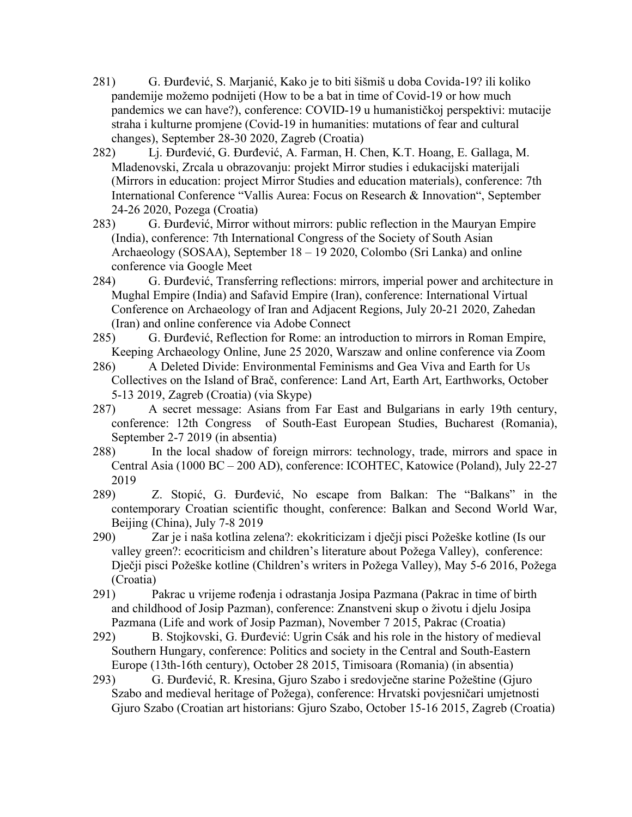- 281) G. Đurđević, S. Marjanić, Kako je to biti šišmiš u doba Covida-19? ili koliko pandemije možemo podnijeti (How to be a bat in time of Covid-19 or how much pandemics we can have?), conference: COVID-19 u humanističkoj perspektivi: mutacije straha i kulturne promjene (Covid-19 in humanities: mutations of fear and cultural changes), September 28-30 2020, Zagreb (Croatia)
- 282) Lj. Đurđević, G. Đurđević, A. Farman, H. Chen, K.T. Hoang, E. Gallaga, M. Mladenovski, Zrcala u obrazovanju: projekt Mirror studies i edukacijski materijali (Mirrors in education: project Mirror Studies and education materials), conference: 7th International Conference "Vallis Aurea: Focus on Research & Innovation", September 24-26 2020, Pozega (Croatia)
- 283) G. Đurđević, Mirror without mirrors: public reflection in the Mauryan Empire (India), conference: 7th International Congress of the Society of South Asian Archaeology (SOSAA), September 18 – 19 2020, Colombo (Sri Lanka) and online conference via Google Meet
- 284) G. Đurđević, Transferring reflections: mirrors, imperial power and architecture in Mughal Empire (India) and Safavid Empire (Iran), conference: International Virtual Conference on Archaeology of Iran and Adjacent Regions, July 20-21 2020, Zahedan (Iran) and online conference via Adobe Connect
- 285) G. Đurđević, Reflection for Rome: an introduction to mirrors in Roman Empire, Keeping Archaeology Online, June 25 2020, Warszaw and online conference via Zoom
- 286) A Deleted Divide: Environmental Feminisms and Gea Viva and Earth for Us Collectives on the Island of Brač, conference: Land Art, Earth Art, Earthworks, October 5-13 2019, Zagreb (Croatia) (via Skype)
- 287) A secret message: Asians from Far East and Bulgarians in early 19th century, conference: 12th Congress of South-East European Studies, Bucharest (Romania), September 2-7 2019 (in absentia)
- 288) In the local shadow of foreign mirrors: technology, trade, mirrors and space in Central Asia (1000 BC – 200 AD), conference: ICOHTEC, Katowice (Poland), July 22-27 2019
- 289) Z. Stopić, G. Đurđević, No escape from Balkan: The "Balkans" in the contemporary Croatian scientific thought, conference: Balkan and Second World War, Beijing (China), July 7-8 2019
- 290) Zar je i naša kotlina zelena?: ekokriticizam i dječji pisci Požeške kotline (Is our valley green?: ecocriticism and children's literature about Požega Valley), conference: Dječji pisci Požeške kotline (Children's writers in Požega Valley), May 5-6 2016, Požega (Croatia)
- 291) Pakrac u vrijeme rođenja i odrastanja Josipa Pazmana (Pakrac in time of birth and childhood of Josip Pazman), conference: Znanstveni skup o životu i djelu Josipa Pazmana (Life and work of Josip Pazman), November 7 2015, Pakrac (Croatia)
- 292) B. Stojkovski, G. Đurđević: Ugrin Csák and his role in the history of medieval Southern Hungary, conference: Politics and society in the Central and South-Eastern Europe (13th-16th century), October 28 2015, Timisoara (Romania) (in absentia)
- 293) G. Đurđević, R. Kresina, Gjuro Szabo i sredovječne starine Požeštine (Gjuro Szabo and medieval heritage of Požega), conference: Hrvatski povjesničari umjetnosti Gjuro Szabo (Croatian art historians: Gjuro Szabo, October 15-16 2015, Zagreb (Croatia)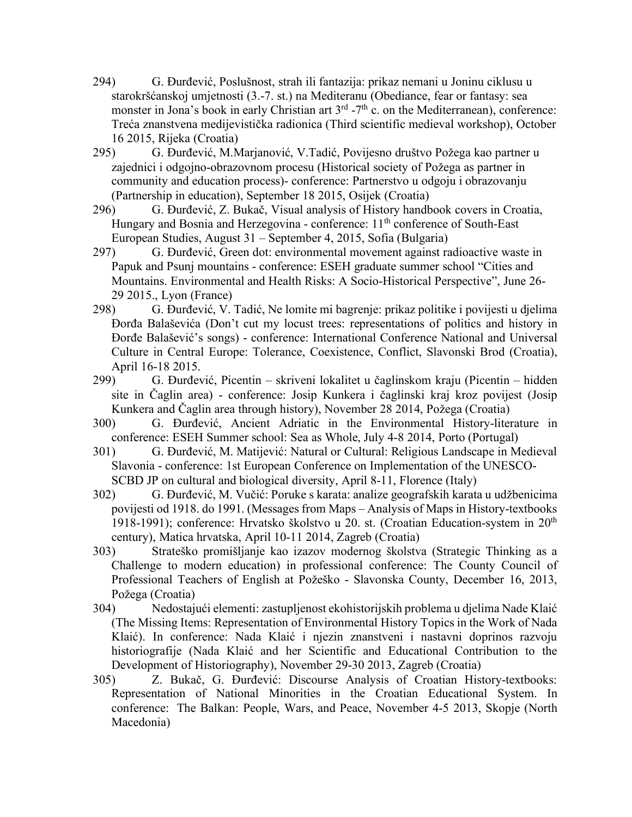- 294) G. Đurđević, Poslušnost, strah ili fantazija: prikaz nemani u Joninu ciklusu u starokršćanskoj umjetnosti (3.-7. st.) na Mediteranu (Obediance, fear or fantasy: sea monster in Jona's book in early Christian art  $3<sup>rd</sup> - 7<sup>th</sup>$  c. on the Mediterranean), conference: Treća znanstvena medijevistička radionica (Third scientific medieval workshop), October 16 2015, Rijeka (Croatia)
- 295) G. Đurđević, M.Marjanović, V.Tadić, Povijesno društvo Požega kao partner u zajednici i odgojno-obrazovnom procesu (Historical society of Požega as partner in community and education process)- conference: Partnerstvo u odgoju i obrazovanju (Partnership in education), September 18 2015, Osijek (Croatia)
- 296) G. Đurđević, Z. Bukač, Visual analysis of History handbook covers in Croatia, Hungary and Bosnia and Herzegovina - conference: 11<sup>th</sup> conference of South-East European Studies, August 31 – September 4, 2015, Sofia (Bulgaria)
- 297) G. Đurđević, Green dot: environmental movement against radioactive waste in Papuk and Psunj mountains - conference: ESEH graduate summer school "Cities and Mountains. Environmental and Health Risks: A Socio-Historical Perspective", June 26- 29 2015., Lyon (France)
- 298) G. Đurđević, V. Tadić, Ne lomite mi bagrenje: prikaz politike i povijesti u djelima Đorđa Balaševića (Don't cut my locust trees: representations of politics and history in Đorđe Balašević's songs) - conference: International Conference National and Universal Culture in Central Europe: Tolerance, Coexistence, Conflict, Slavonski Brod (Croatia), April 16-18 2015.
- 299) G. Đurđević, Picentin skriveni lokalitet u čaglinskom kraju (Picentin hidden site in Čaglin area) - conference: Josip Kunkera i čaglinski kraj kroz povijest (Josip Kunkera and Čaglin area through history), November 28 2014, Požega (Croatia)
- 300) G. Đurđević, Ancient Adriatic in the Environmental History-literature in conference: ESEH Summer school: Sea as Whole, July 4-8 2014, Porto (Portugal)
- 301) G. Đurđević, M. Matijević: Natural or Cultural: Religious Landscape in Medieval Slavonia - conference: 1st European Conference on Implementation of the UNESCO-SCBD JP on cultural and biological diversity, April 8-11, Florence (Italy)
- 302) G. Đurđević, M. Vučić: Poruke s karata: analize geografskih karata u udžbenicima povijesti od 1918. do 1991. (Messages from Maps – Analysis of Maps in History-textbooks 1918-1991); conference: Hrvatsko školstvo u 20. st. (Croatian Education-system in 20<sup>th</sup> century), Matica hrvatska, April 10-11 2014, Zagreb (Croatia)
- 303) Strateško promišljanje kao izazov modernog školstva (Strategic Thinking as a Challenge to modern education) in professional conference: The County Council of Professional Teachers of English at Požeško - Slavonska County, December 16, 2013, Požega (Croatia)
- 304) Nedostajući elementi: zastupljenost ekohistorijskih problema u djelima Nade Klaić (The Missing Items: Representation of Environmental History Topics in the Work of Nada Klaić). In conference: Nada Klaić i njezin znanstveni i nastavni doprinos razvoju historiografije (Nada Klaić and her Scientific and Educational Contribution to the Development of Historiography), November 29-30 2013, Zagreb (Croatia)
- 305) Z. Bukač, G. Đurđević: Discourse Analysis of Croatian History-textbooks: Representation of National Minorities in the Croatian Educational System. In conference: The Balkan: People, Wars, and Peace, November 4-5 2013, Skopje (North Macedonia)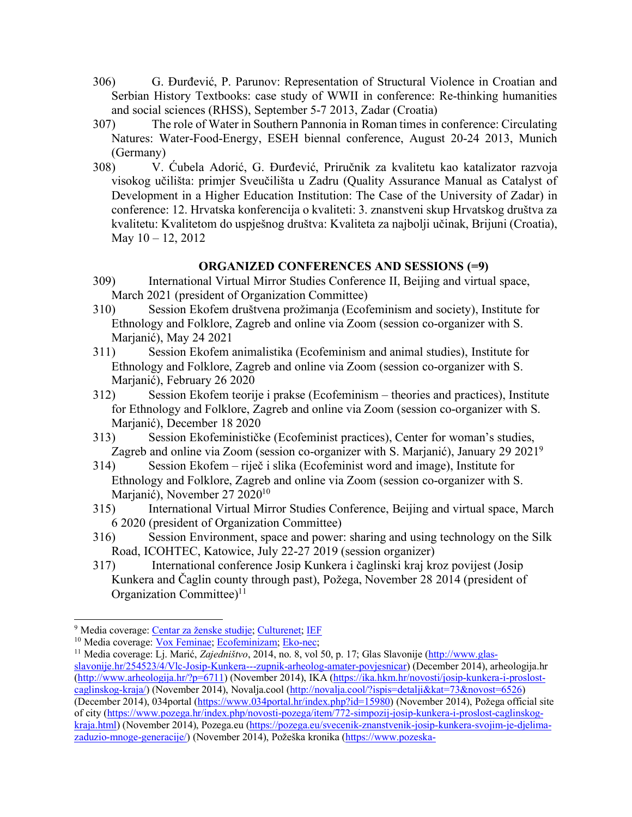- 306) G. Đurđević, P. Parunov: Representation of Structural Violence in Croatian and Serbian History Textbooks: case study of WWII in conference: Re-thinking humanities and social sciences (RHSS), September 5-7 2013, Zadar (Croatia)
- 307) The role of Water in Southern Pannonia in Roman times in conference: Circulating Natures: Water-Food-Energy, ESEH biennal conference, August 20-24 2013, Munich (Germany)
- 308) V. Ćubela Adorić, G. Đurđević, Priručnik za kvalitetu kao katalizator razvoja visokog učilišta: primjer Sveučilišta u Zadru (Quality Assurance Manual as Catalyst of Development in a Higher Education Institution: The Case of the University of Zadar) in conference: 12. Hrvatska konferencija o kvaliteti: 3. znanstveni skup Hrvatskog društva za kvalitetu: Kvalitetom do uspješnog društva: Kvaliteta za najbolji učinak, Brijuni (Croatia), May 10 – 12, 2012

## **ORGANIZED CONFERENCES AND SESSIONS (=9)**

- 309) International Virtual Mirror Studies Conference II, Beijing and virtual space, March 2021 (president of Organization Committee)
- 310) Session Ekofem društvena prožimanja (Ecofeminism and society), Institute for Ethnology and Folklore, Zagreb and online via Zoom (session co-organizer with S. Marjanić), May 24 2021
- 311) Session Ekofem animalistika (Ecofeminism and animal studies), Institute for Ethnology and Folklore, Zagreb and online via Zoom (session co-organizer with S. Marjanić), February 26 2020
- 312) Session Ekofem teorije i prakse (Ecofeminism theories and practices), Institute for Ethnology and Folklore, Zagreb and online via Zoom (session co-organizer with S. Marjanić), December 18 2020
- 313) Session Ekofeminističke (Ecofeminist practices), Center for woman's studies, Zagreb and online via Zoom (session co-organizer with S. Marjanić), January 29 20219
- 314) Session Ekofem riječ i slika (Ecofeminist word and image), Institute for Ethnology and Folklore, Zagreb and online via Zoom (session co-organizer with S. Marjanić), November 27 2020<sup>10</sup>
- 315) International Virtual Mirror Studies Conference, Beijing and virtual space, March 6 2020 (president of Organization Committee)
- 316) Session Environment, space and power: sharing and using technology on the Silk Road, ICOHTEC, Katowice, July 22-27 2019 (session organizer)
- 317) International conference Josip Kunkera i čaglinski kraj kroz povijest (Josip Kunkera and Čaglin county through past), Požega, November 28 2014 (president of Organization Committee)<sup>11</sup>

<sup>&</sup>lt;sup>9</sup> Media coverage: <u>Centar za ženske studije; Culturenet; IEF</u><br><sup>10</sup> Media coverage: Vox Feminae; Ecofeminizam; Eko-nec;

<sup>&</sup>lt;sup>11</sup> Media coverage: Li. Marić, *Zajedništvo*, 2014, no. 8, vol 50, p. 17; Glas Slavonije (http://www.glasslavonije.hr/254523/4/Vlc-Josip-Kunkera---zupnik-arheolog-amater-povjesnicar) (December 2014), arheologija.hr (http://www.arheologija.hr/?p=6711) (November 2014), IKA (https://ika.hkm.hr/novosti/josip-kunkera-i-proslostcaglinskog-kraja/) (November 2014), Novalja.cool (http://novalja.cool/?ispis=detalji&kat=73&novost=6526) (December 2014), 034portal (https://www.034portal.hr/index.php?id=15980) (November 2014), Požega official site of city (https://www.pozega.hr/index.php/novosti-pozega/item/772-simpozij-josip-kunkera-i-proslost-caglinskogkraja.html) (November 2014), Pozega.eu (https://pozega.eu/svecenik-znanstvenik-josip-kunkera-svojim-je-djelimazaduzio-mnoge-generacije/) (November 2014), Požeška kronika (https://www.pozeska-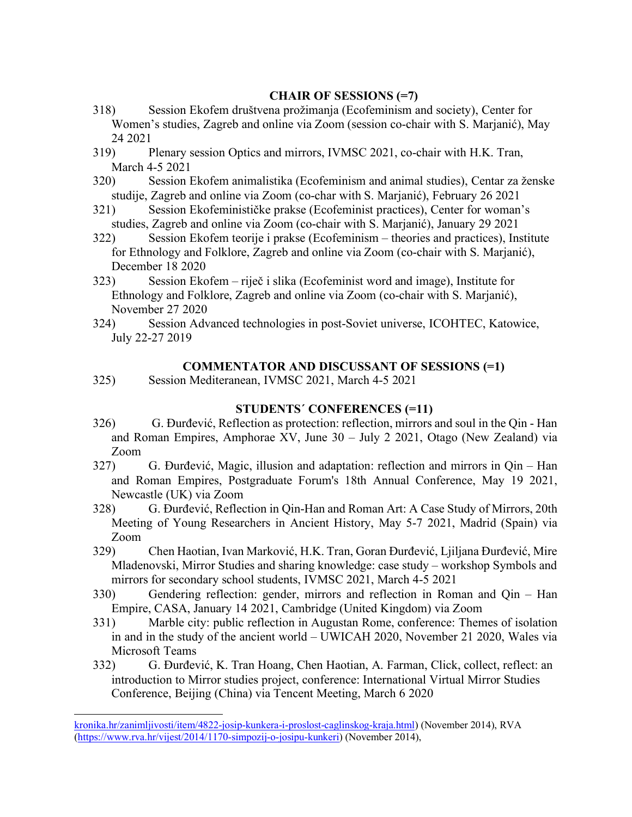## **CHAIR OF SESSIONS (=7)**

- 318) Session Ekofem društvena prožimanja (Ecofeminism and society), Center for Women's studies, Zagreb and online via Zoom (session co-chair with S. Marjanić), May 24 2021
- 319) Plenary session Optics and mirrors, IVMSC 2021, co-chair with H.K. Tran, March 4-5 2021
- 320) Session Ekofem animalistika (Ecofeminism and animal studies), Centar za ženske studije, Zagreb and online via Zoom (co-char with S. Marjanić), February 26 2021
- 321) Session Ekofeminističke prakse (Ecofeminist practices), Center for woman's studies, Zagreb and online via Zoom (co-chair with S. Marjanić), January 29 2021
- 322) Session Ekofem teorije i prakse (Ecofeminism theories and practices), Institute for Ethnology and Folklore, Zagreb and online via Zoom (co-chair with S. Marjanić), December 18 2020
- 323) Session Ekofem riječ i slika (Ecofeminist word and image), Institute for Ethnology and Folklore, Zagreb and online via Zoom (co-chair with S. Marjanić), November 27 2020
- 324) Session Advanced technologies in post-Soviet universe, ICOHTEC, Katowice, July 22-27 2019

## **COMMENTATOR AND DISCUSSANT OF SESSIONS (=1)**

325) Session Mediteranean, IVMSC 2021, March 4-5 2021

## **STUDENTS´ CONFERENCES (=11)**

- 326) G. Đurđević, Reflection as protection: reflection, mirrors and soul in the Qin Han and Roman Empires, Amphorae XV, June 30 – July 2 2021, Otago (New Zealand) via Zoom
- 327) G. Đurđević, Magic, illusion and adaptation: reflection and mirrors in Qin Han and Roman Empires, Postgraduate Forum's 18th Annual Conference, May 19 2021, Newcastle (UK) via Zoom
- 328) G. Đurđević, Reflection in Qin-Han and Roman Art: A Case Study of Mirrors, 20th Meeting of Young Researchers in Ancient History, May 5-7 2021, Madrid (Spain) via Zoom
- 329) Chen Haotian, Ivan Marković, H.K. Tran, Goran Đurđević, Ljiljana Đurđević, Mire Mladenovski, Mirror Studies and sharing knowledge: case study – workshop Symbols and mirrors for secondary school students, IVMSC 2021, March 4-5 2021
- 330) Gendering reflection: gender, mirrors and reflection in Roman and Qin Han Empire, CASA, January 14 2021, Cambridge (United Kingdom) via Zoom
- 331) Marble city: public reflection in Augustan Rome, conference: Themes of isolation in and in the study of the ancient world – UWICAH 2020, November 21 2020, Wales via Microsoft Teams
- 332) G. Đurđević, K. Tran Hoang, Chen Haotian, A. Farman, Click, collect, reflect: an introduction to Mirror studies project, conference: International Virtual Mirror Studies Conference, Beijing (China) via Tencent Meeting, March 6 2020

 $\overline{a}$ 

kronika.hr/zanimljivosti/item/4822-josip-kunkera-i-proslost-caglinskog-kraja.html) (November 2014), RVA (https://www.rva.hr/vijest/2014/1170-simpozij-o-josipu-kunkeri) (November 2014),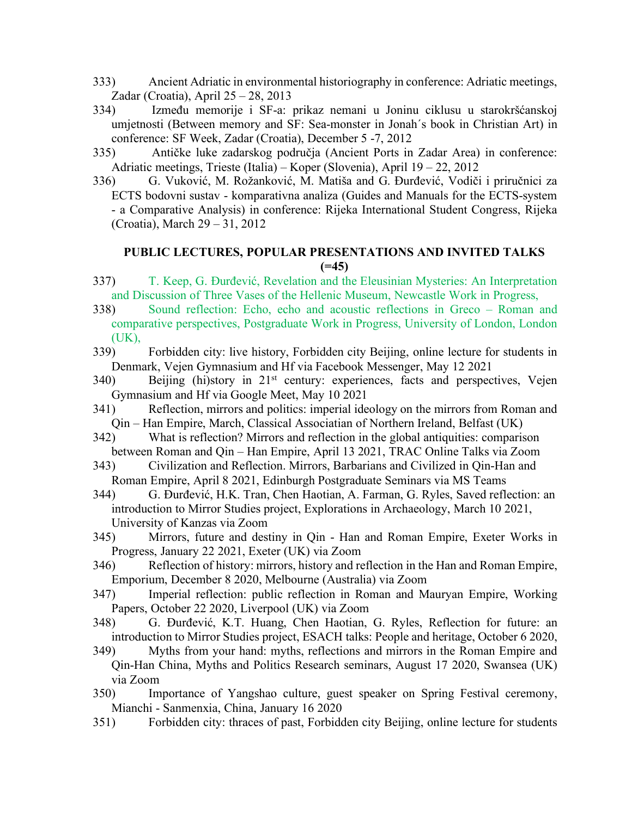- 333) Ancient Adriatic in environmental historiography in conference: Adriatic meetings, Zadar (Croatia), April 25 – 28, 2013
- 334) Između memorije i SF-a: prikaz nemani u Joninu ciklusu u starokršćanskoj umjetnosti (Between memory and SF: Sea-monster in Jonah´s book in Christian Art) in conference: SF Week, Zadar (Croatia), December 5 -7, 2012
- 335) Antičke luke zadarskog područja (Ancient Ports in Zadar Area) in conference: Adriatic meetings, Trieste (Italia) – Koper (Slovenia), April 19 – 22, 2012
- 336) G. Vuković, M. Rožanković, M. Matiša and G. Đurđević, Vodiči i priručnici za ECTS bodovni sustav - komparativna analiza (Guides and Manuals for the ECTS-system - a Comparative Analysis) in conference: Rijeka International Student Congress, Rijeka (Croatia), March 29 – 31, 2012

## **PUBLIC LECTURES, POPULAR PRESENTATIONS AND INVITED TALKS (=45)**

- 337) T. Keep, G. Đurđević, Revelation and the Eleusinian Mysteries: An Interpretation and Discussion of Three Vases of the Hellenic Museum, Newcastle Work in Progress,
- 338) Sound reflection: Echo, echo and acoustic reflections in Greco Roman and comparative perspectives, Postgraduate Work in Progress, University of London, London (UK),
- 339) Forbidden city: live history, Forbidden city Beijing, online lecture for students in Denmark, Vejen Gymnasium and Hf via Facebook Messenger, May 12 2021
- 340) Beijing (hi)story in 21st century: experiences, facts and perspectives, Vejen Gymnasium and Hf via Google Meet, May 10 2021
- 341) Reflection, mirrors and politics: imperial ideology on the mirrors from Roman and Qin – Han Empire, March, Classical Associatian of Northern Ireland, Belfast (UK)
- 342) What is reflection? Mirrors and reflection in the global antiquities: comparison between Roman and Qin – Han Empire, April 13 2021, TRAC Online Talks via Zoom
- 343) Civilization and Reflection. Mirrors, Barbarians and Civilized in Qin-Han and Roman Empire, April 8 2021, Edinburgh Postgraduate Seminars via MS Teams
- 344) G. Đurđević, H.K. Tran, Chen Haotian, A. Farman, G. Ryles, Saved reflection: an introduction to Mirror Studies project, Explorations in Archaeology, March 10 2021, University of Kanzas via Zoom
- 345) Mirrors, future and destiny in Qin Han and Roman Empire, Exeter Works in Progress, January 22 2021, Exeter (UK) via Zoom
- 346) Reflection of history: mirrors, history and reflection in the Han and Roman Empire, Emporium, December 8 2020, Melbourne (Australia) via Zoom
- 347) Imperial reflection: public reflection in Roman and Mauryan Empire, Working Papers, October 22 2020, Liverpool (UK) via Zoom
- 348) G. Đurđević, K.T. Huang, Chen Haotian, G. Ryles, Reflection for future: an introduction to Mirror Studies project, ESACH talks: People and heritage, October 6 2020,
- 349) Myths from your hand: myths, reflections and mirrors in the Roman Empire and Qin-Han China, Myths and Politics Research seminars, August 17 2020, Swansea (UK) via Zoom
- 350) Importance of Yangshao culture, guest speaker on Spring Festival ceremony, Mianchi - Sanmenxia, China, January 16 2020
- 351) Forbidden city: thraces of past, Forbidden city Beijing, online lecture for students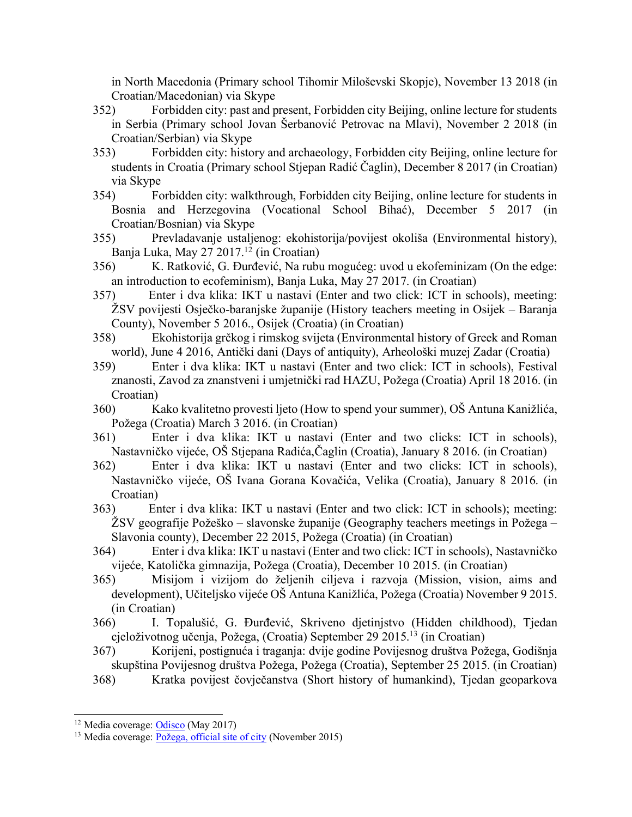in North Macedonia (Primary school Tihomir Miloševski Skopje), November 13 2018 (in Croatian/Macedonian) via Skype

- 352) Forbidden city: past and present, Forbidden city Beijing, online lecture for students in Serbia (Primary school Jovan Šerbanović Petrovac na Mlavi), November 2 2018 (in Croatian/Serbian) via Skype
- 353) Forbidden city: history and archaeology, Forbidden city Beijing, online lecture for students in Croatia (Primary school Stjepan Radić Čaglin), December 8 2017 (in Croatian) via Skype
- 354) Forbidden city: walkthrough, Forbidden city Beijing, online lecture for students in Bosnia and Herzegovina (Vocational School Bihać), December 5 2017 (in Croatian/Bosnian) via Skype
- 355) Prevladavanje ustaljenog: ekohistorija/povijest okoliša (Environmental history), Banja Luka, May 27 2017.<sup>12</sup> (in Croatian)
- 356) K. Ratković, G. Đurđević, Na rubu mogućeg: uvod u ekofeminizam (On the edge: an introduction to ecofeminism), Banja Luka, May 27 2017. (in Croatian)
- 357) Enter i dva klika: IKT u nastavi (Enter and two click: ICT in schools), meeting: ŽSV povijesti Osječko-baranjske županije (History teachers meeting in Osijek – Baranja County), November 5 2016., Osijek (Croatia) (in Croatian)
- 358) Ekohistorija grčkog i rimskog svijeta (Environmental history of Greek and Roman world), June 4 2016, Antički dani (Days of antiquity), Arheološki muzej Zadar (Croatia)
- 359) Enter i dva klika: IKT u nastavi (Enter and two click: ICT in schools), Festival znanosti, Zavod za znanstveni i umjetnički rad HAZU, Požega (Croatia) April 18 2016. (in Croatian)
- 360) Kako kvalitetno provesti ljeto (How to spend your summer), OŠ Antuna Kanižlića, Požega (Croatia) March 3 2016. (in Croatian)
- 361) Enter i dva klika: IKT u nastavi (Enter and two clicks: ICT in schools), Nastavničko vijeće, OŠ Stjepana Radića,Čaglin (Croatia), January 8 2016. (in Croatian)
- 362) Enter i dva klika: IKT u nastavi (Enter and two clicks: ICT in schools), Nastavničko vijeće, OŠ Ivana Gorana Kovačića, Velika (Croatia), January 8 2016. (in Croatian)
- 363) Enter i dva klika: IKT u nastavi (Enter and two click: ICT in schools); meeting: ŽSV geografije Požeško – slavonske županije (Geography teachers meetings in Požega – Slavonia county), December 22 2015, Požega (Croatia) (in Croatian)
- 364) Enter i dva klika: IKT u nastavi (Enter and two click: ICT in schools), Nastavničko vijeće, Katolička gimnazija, Požega (Croatia), December 10 2015. (in Croatian)
- 365) Misijom i vizijom do željenih ciljeva i razvoja (Mission, vision, aims and development), Učiteljsko vijeće OŠ Antuna Kanižlića, Požega (Croatia) November 9 2015. (in Croatian)
- 366) I. Topalušić, G. Đurđević, Skriveno djetinjstvo (Hidden childhood), Tjedan cjeloživotnog učenja, Požega, (Croatia) September 29 2015.13 (in Croatian)
- 367) Korijeni, postignuća i traganja: dvije godine Povijesnog društva Požega, Godišnja skupština Povijesnog društva Požega, Požega (Croatia), September 25 2015. (in Croatian)
- 368) Kratka povijest čovječanstva (Short history of humankind), Tjedan geoparkova

<sup>&</sup>lt;sup>12</sup> Media coverage: **Odisco** (May 2017)

<sup>13</sup> Media coverage: Požega, official site of city (November 2015)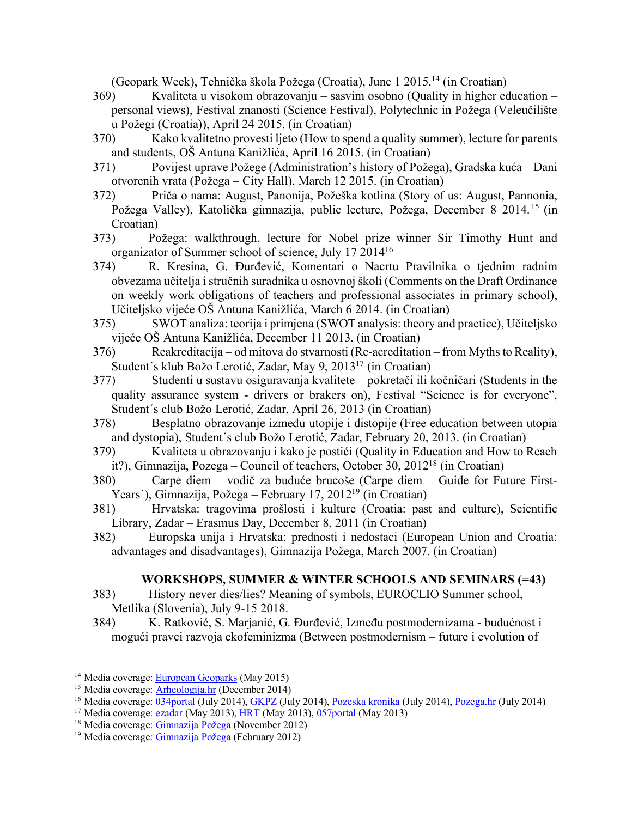(Geopark Week), Tehnička škola Požega (Croatia), June 1 2015.14 (in Croatian)

- 369) Kvaliteta u visokom obrazovanju sasvim osobno (Quality in higher education personal views), Festival znanosti (Science Festival), Polytechnic in Požega (Veleučilište u Požegi (Croatia)), April 24 2015. (in Croatian)
- 370) Kako kvalitetno provesti ljeto (How to spend a quality summer), lecture for parents and students, OŠ Antuna Kanižlića, April 16 2015. (in Croatian)
- 371) Povijest uprave Požege (Administration's history of Požega), Gradska kuća Dani otvorenih vrata (Požega – City Hall), March 12 2015. (in Croatian)
- 372) Priča o nama: August, Panonija, Požeška kotlina (Story of us: August, Pannonia, Požega Valley), Katolička gimnazija, public lecture, Požega, December 8 2014. <sup>15</sup> (in Croatian)
- 373) Požega: walkthrough, lecture for Nobel prize winner Sir Timothy Hunt and organizator of Summer school of science, July 17 201416
- 374) R. Kresina, G. Đurđević, Komentari o Nacrtu Pravilnika o tjednim radnim obvezama učitelja i stručnih suradnika u osnovnoj školi (Comments on the Draft Ordinance on weekly work obligations of teachers and professional associates in primary school), Učiteljsko vijeće OŠ Antuna Kanižlića, March 6 2014. (in Croatian)
- 375) SWOT analiza: teorija i primjena (SWOT analysis: theory and practice), Učiteljsko vijeće OŠ Antuna Kanižlića, December 11 2013. (in Croatian)
- 376) Reakreditacija od mitova do stvarnosti (Re-acreditation from Myths to Reality), Student´s klub Božo Lerotić, Zadar, May 9, 201317 (in Croatian)
- 377) Studenti u sustavu osiguravanja kvalitete pokretači ili kočničari (Students in the quality assurance system - drivers or brakers on), Festival "Science is for everyone", Student´s club Božo Lerotić, Zadar, April 26, 2013 (in Croatian)
- 378) Besplatno obrazovanje između utopije i distopije (Free education between utopia and dystopia), Student´s club Božo Lerotić, Zadar, February 20, 2013. (in Croatian)
- 379) Kvaliteta u obrazovanju i kako je postići (Quality in Education and How to Reach it?), Gimnazija, Pozega – Council of teachers, October 30, 201218 (in Croatian)
- 380) Carpe diem vodič za buduće brucoše (Carpe diem Guide for Future First-Years´), Gimnazija, Požega – February 17, 201219 (in Croatian)
- 381) Hrvatska: tragovima prošlosti i kulture (Croatia: past and culture), Scientific Library, Zadar – Erasmus Day, December 8, 2011 (in Croatian)
- 382) Europska unija i Hrvatska: prednosti i nedostaci (European Union and Croatia: advantages and disadvantages), Gimnazija Požega, March 2007. (in Croatian)

## **WORKSHOPS, SUMMER & WINTER SCHOOLS AND SEMINARS (=43)**

- 383) History never dies/lies? Meaning of symbols, EUROCLIO Summer school, Metlika (Slovenia), July 9-15 2018.
- 384) K. Ratković, S. Marjanić, G. Đurđević, Između postmodernizama budućnost i mogući pravci razvoja ekofeminizma (Between postmodernism – future i evolution of

<sup>&</sup>lt;sup>14</sup> Media coverage: European Geoparks (May 2015)

<sup>15</sup> Media coverage: Arheologija.hr (December 2014)

<sup>&</sup>lt;sup>16</sup> Media coverage: 034portal (July 2014), GKPZ (July 2014), Pozeska kronika (July 2014), Pozega.hr (July 2014)

<sup>&</sup>lt;sup>17</sup> Media coverage:  $\overline{\text{ezadar}}$  (May 2013), HRT (May 2013), 057portal (May 2013)

<sup>&</sup>lt;sup>18</sup> Media coverage: Gimnazija Požega (November 2012)

<sup>19</sup> Media coverage: Gimnazija Požega (February 2012)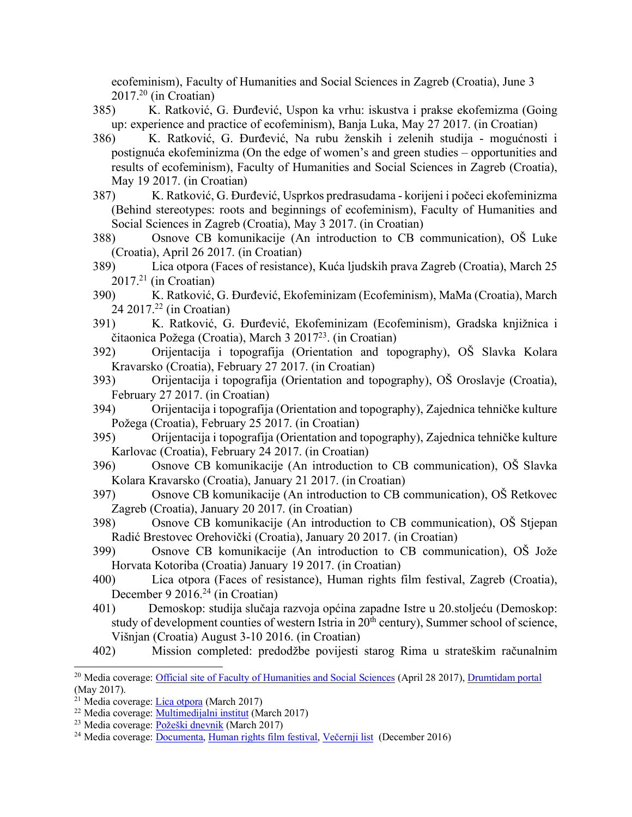ecofeminism), Faculty of Humanities and Social Sciences in Zagreb (Croatia), June 3  $2017<sup>20</sup>$  (in Croatian)

- 385) K. Ratković, G. Đurđević, Uspon ka vrhu: iskustva i prakse ekofemizma (Going up: experience and practice of ecofeminism), Banja Luka, May 27 2017. (in Croatian)
- 386) K. Ratković, G. Đurđević, Na rubu ženskih i zelenih studija mogućnosti i postignuća ekofeminizma (On the edge of women's and green studies – opportunities and results of ecofeminism), Faculty of Humanities and Social Sciences in Zagreb (Croatia), May 19 2017. (in Croatian)
- 387) K. Ratković, G. Đurđević, Usprkos predrasudama korijeni i počeci ekofeminizma (Behind stereotypes: roots and beginnings of ecofeminism), Faculty of Humanities and Social Sciences in Zagreb (Croatia), May 3 2017. (in Croatian)
- 388) Osnove CB komunikacije (An introduction to CB communication), OŠ Luke (Croatia), April 26 2017. (in Croatian)
- 389) Lica otpora (Faces of resistance), Kuća ljudskih prava Zagreb (Croatia), March 25  $2017<sup>21</sup>$  (in Croatian)
- 390) K. Ratković, G. Đurđević, Ekofeminizam (Ecofeminism), MaMa (Croatia), March 24 2017.22 (in Croatian)
- 391) K. Ratković, G. Đurđević, Ekofeminizam (Ecofeminism), Gradska knjižnica i čitaonica Požega (Croatia), March 3 201723. (in Croatian)
- 392) Orijentacija i topografija (Orientation and topography), OŠ Slavka Kolara Kravarsko (Croatia), February 27 2017. (in Croatian)
- 393) Orijentacija i topografija (Orientation and topography), OŠ Oroslavje (Croatia), February 27 2017. (in Croatian)
- 394) Orijentacija i topografija (Orientation and topography), Zajednica tehničke kulture Požega (Croatia), February 25 2017. (in Croatian)
- 395) Orijentacija i topografija (Orientation and topography), Zajednica tehničke kulture Karlovac (Croatia), February 24 2017. (in Croatian)
- 396) Osnove CB komunikacije (An introduction to CB communication), OŠ Slavka Kolara Kravarsko (Croatia), January 21 2017. (in Croatian)
- 397) Osnove CB komunikacije (An introduction to CB communication), OŠ Retkovec Zagreb (Croatia), January 20 2017. (in Croatian)
- 398) Osnove CB komunikacije (An introduction to CB communication), OŠ Stjepan Radić Brestovec Orehovički (Croatia), January 20 2017. (in Croatian)
- 399) Osnove CB komunikacije (An introduction to CB communication), OŠ Jože Horvata Kotoriba (Croatia) January 19 2017. (in Croatian)
- 400) Lica otpora (Faces of resistance), Human rights film festival, Zagreb (Croatia), December 9 2016.<sup>24</sup> (in Croatian)
- 401) Demoskop: studija slučaja razvoja općina zapadne Istre u 20.stoljeću (Demoskop: study of development counties of western Istria in 20<sup>th</sup> century), Summer school of science, Višnjan (Croatia) August 3-10 2016. (in Croatian)
- 402) Mission completed: predodžbe povijesti starog Rima u strateškim računalnim

<sup>&</sup>lt;sup>20</sup> Media coverage: Official site of Faculty of Humanities and Social Sciences (April 28 2017), Drumtidam portal (May 2017).

<sup>&</sup>lt;sup>21</sup> Media coverage: Lica otpora (March 2017)

<sup>22</sup> Media coverage: Multimedijalni institut (March 2017)

<sup>23</sup> Media coverage: Požeški dnevnik (March 2017)

<sup>24</sup> Media coverage: Documenta, Human rights film festival, Večernji list (December 2016)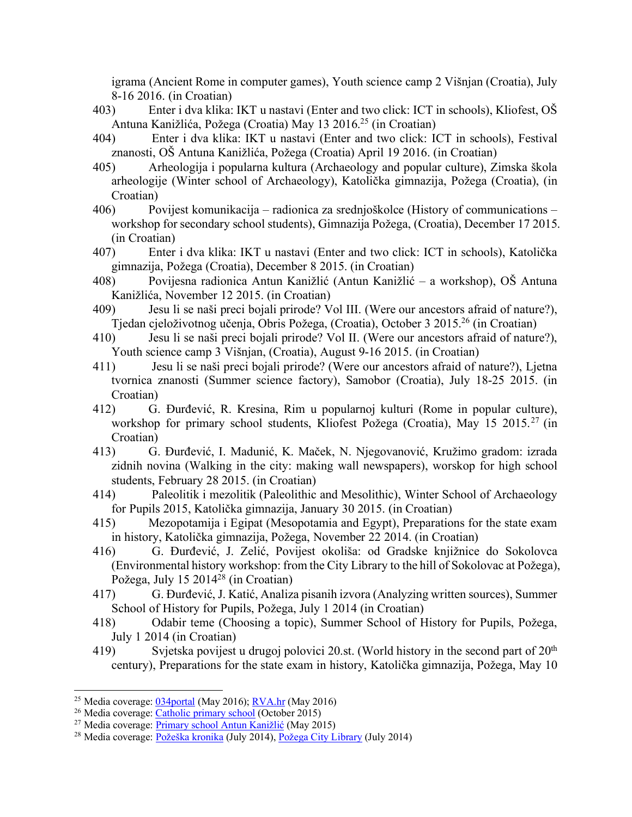igrama (Ancient Rome in computer games), Youth science camp 2 Višnjan (Croatia), July 8-16 2016. (in Croatian)

- 403) Enter i dva klika: IKT u nastavi (Enter and two click: ICT in schools), Kliofest, OŠ Antuna Kanižlića, Požega (Croatia) May 13 2016.25 (in Croatian)
- 404) Enter i dva klika: IKT u nastavi (Enter and two click: ICT in schools), Festival znanosti, OŠ Antuna Kanižlića, Požega (Croatia) April 19 2016. (in Croatian)
- 405) Arheologija i popularna kultura (Archaeology and popular culture), Zimska škola arheologije (Winter school of Archaeology), Katolička gimnazija, Požega (Croatia), (in Croatian)
- 406) Povijest komunikacija radionica za srednjoškolce (History of communications workshop for secondary school students), Gimnazija Požega, (Croatia), December 17 2015. (in Croatian)
- 407) Enter i dva klika: IKT u nastavi (Enter and two click: ICT in schools), Katolička gimnazija, Požega (Croatia), December 8 2015. (in Croatian)
- 408) Povijesna radionica Antun Kanižlić (Antun Kanižlić a workshop), OŠ Antuna Kanižlića, November 12 2015. (in Croatian)
- 409) Jesu li se naši preci bojali prirode? Vol III. (Were our ancestors afraid of nature?), Tjedan cjeloživotnog učenja, Obris Požega, (Croatia), October 3 2015.26 (in Croatian)
- 410) Jesu li se naši preci bojali prirode? Vol II. (Were our ancestors afraid of nature?), Youth science camp 3 Višnjan, (Croatia), August 9-16 2015. (in Croatian)
- 411) Jesu li se naši preci bojali prirode? (Were our ancestors afraid of nature?), Ljetna tvornica znanosti (Summer science factory), Samobor (Croatia), July 18-25 2015. (in Croatian)
- 412) G. Đurđević, R. Kresina, Rim u popularnoj kulturi (Rome in popular culture), workshop for primary school students, Kliofest Požega (Croatia), May 15 2015.<sup>27</sup> (in Croatian)
- 413) G. Đurđević, I. Madunić, K. Maček, N. Njegovanović, Kružimo gradom: izrada zidnih novina (Walking in the city: making wall newspapers), worskop for high school students, February 28 2015. (in Croatian)
- 414) Paleolitik i mezolitik (Paleolithic and Mesolithic), Winter School of Archaeology for Pupils 2015, Katolička gimnazija, January 30 2015. (in Croatian)
- 415) Mezopotamija i Egipat (Mesopotamia and Egypt), Preparations for the state exam in history, Katolička gimnazija, Požega, November 22 2014. (in Croatian)
- 416) G. Đurđević, J. Zelić, Povijest okoliša: od Gradske knjižnice do Sokolovca (Environmental history workshop: from the City Library to the hill of Sokolovac at Požega), Požega, July 15 2014<sup>28</sup> (in Croatian)
- 417) G. Đurđević, J. Katić, Analiza pisanih izvora (Analyzing written sources), Summer School of History for Pupils, Požega, July 1 2014 (in Croatian)
- 418) Odabir teme (Choosing a topic), Summer School of History for Pupils, Požega, July 1 2014 (in Croatian)
- 419) Svjetska povijest u drugoj polovici 20.st. (World history in the second part of  $20<sup>th</sup>$ century), Preparations for the state exam in history, Katolička gimnazija, Požega, May 10

<sup>&</sup>lt;sup>25</sup> Media coverage: 034 portal (May 2016); RVA.hr (May 2016)

<sup>26</sup> Media coverage: Catholic primary school (October 2015)

<sup>&</sup>lt;sup>27</sup> Media coverage: Primary school Antun Kanižlić (May 2015)

<sup>&</sup>lt;sup>28</sup> Media coverage: Požeška kronika (July 2014), Požega City Library (July 2014)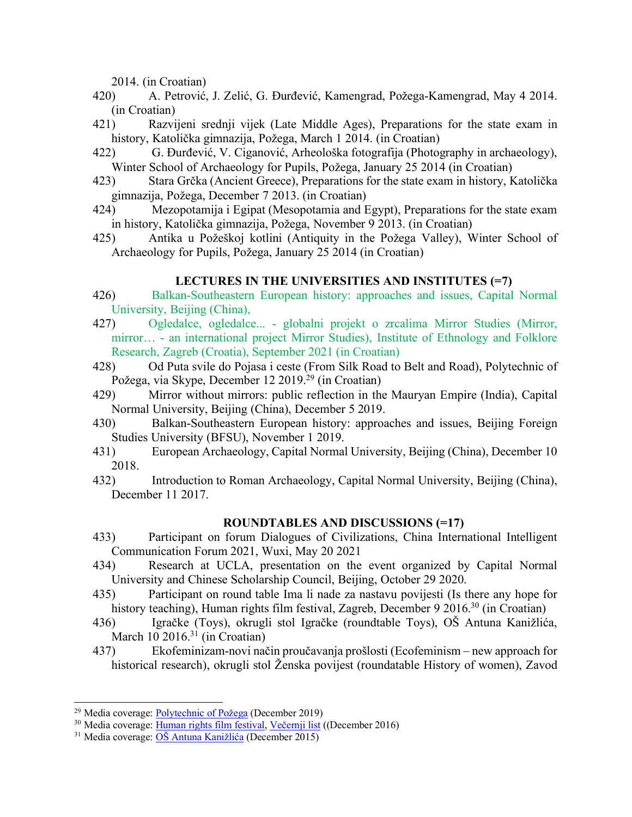2014. (in Croatian)

- 420) A. Petrović, J. Zelić, G. Đurđević, Kamengrad, Požega-Kamengrad, May 4 2014. (in Croatian)
- 421) Razvijeni srednji vijek (Late Middle Ages), Preparations for the state exam in history, Katolička gimnazija, Požega, March 1 2014. (in Croatian)
- 422) G. Đurđević, V. Ciganović, Arheološka fotografija (Photography in archaeology), Winter School of Archaeology for Pupils, Požega, January 25 2014 (in Croatian)
- 423) Stara Grčka (Ancient Greece), Preparations for the state exam in history, Katolička gimnazija, Požega, December 7 2013. (in Croatian)
- 424) Mezopotamija i Egipat (Mesopotamia and Egypt), Preparations for the state exam in history, Katolička gimnazija, Požega, November 9 2013. (in Croatian)
- 425) Antika u Požeškoj kotlini (Antiquity in the Požega Valley), Winter School of Archaeology for Pupils, Požega, January 25 2014 (in Croatian)

## **LECTURES IN THE UNIVERSITIES AND INSTITUTES (=7)**

- 426) Balkan-Southeastern European history: approaches and issues, Capital Normal University, Beijing (China),
- 427) Ogledalce, ogledalce... globalni projekt o zrcalima Mirror Studies (Mirror, mirror… - an international project Mirror Studies), Institute of Ethnology and Folklore Research, Zagreb (Croatia), September 2021 (in Croatian)
- 428) Od Puta svile do Pojasa i ceste (From Silk Road to Belt and Road), Polytechnic of Požega, via Skype, December 12 2019.29 (in Croatian)
- 429) Mirror without mirrors: public reflection in the Mauryan Empire (India), Capital Normal University, Beijing (China), December 5 2019.
- 430) Balkan-Southeastern European history: approaches and issues, Beijing Foreign Studies University (BFSU), November 1 2019.
- 431) European Archaeology, Capital Normal University, Beijing (China), December 10 2018.
- 432) Introduction to Roman Archaeology, Capital Normal University, Beijing (China), December 11 2017.

## **ROUNDTABLES AND DISCUSSIONS (=17)**

- 433) Participant on forum Dialogues of Civilizations, China International Intelligent Communication Forum 2021, Wuxi, May 20 2021
- 434) Research at UCLA, presentation on the event organized by Capital Normal University and Chinese Scholarship Council, Beijing, October 29 2020.
- 435) Participant on round table Ima li nade za nastavu povijesti (Is there any hope for history teaching), Human rights film festival, Zagreb, December 9 2016.<sup>30</sup> (in Croatian)
- 436) Igračke (Toys), okrugli stol Igračke (roundtable Toys), OŠ Antuna Kanižlića, March  $10\ 2016.<sup>31</sup>$  (in Croatian)
- 437) Ekofeminizam-novi način proučavanja prošlosti (Ecofeminism new approach for historical research), okrugli stol Ženska povijest (roundatable History of women), Zavod

 <sup>29</sup> Media coverage: Polytechnic of Požega (December 2019)

<sup>&</sup>lt;sup>30</sup> Media coverage: Human rights film festival, Večernji list ((December 2016)

<sup>31</sup> Media coverage: OŠ Antuna Kanižlića (December 2015)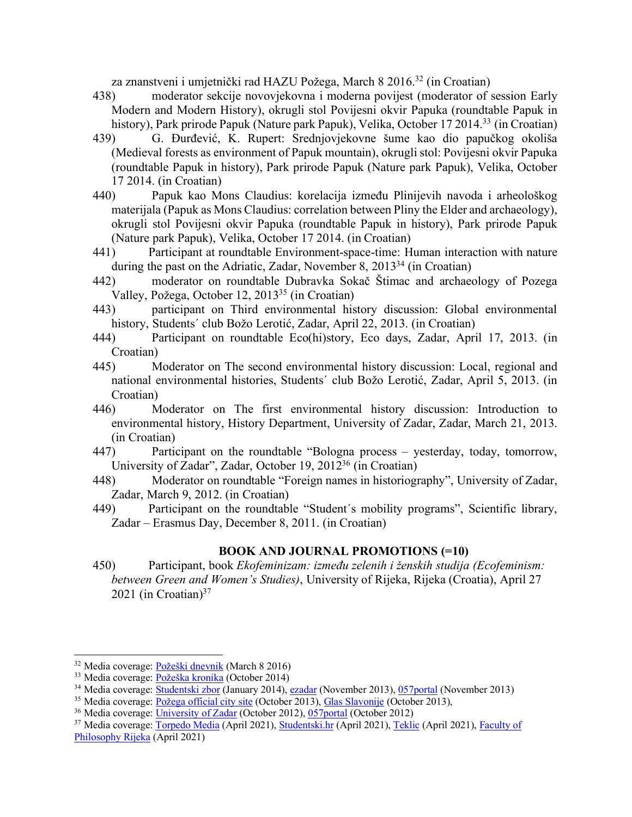za znanstveni i umjetnički rad HAZU Požega, March 8 2016.32 (in Croatian)

- 438) moderator sekcije novovjekovna i moderna povijest (moderator of session Early Modern and Modern History), okrugli stol Povijesni okvir Papuka (roundtable Papuk in history), Park prirode Papuk (Nature park Papuk), Velika, October 17 2014.<sup>33</sup> (in Croatian)
- 439) G. Đurđević, K. Rupert: Srednjovjekovne šume kao dio papučkog okoliša (Medieval forests as environment of Papuk mountain), okrugli stol: Povijesni okvir Papuka (roundtable Papuk in history), Park prirode Papuk (Nature park Papuk), Velika, October 17 2014. (in Croatian)
- 440) Papuk kao Mons Claudius: korelacija između Plinijevih navoda i arheološkog materijala (Papuk as Mons Claudius: correlation between Pliny the Elder and archaeology), okrugli stol Povijesni okvir Papuka (roundtable Papuk in history), Park prirode Papuk (Nature park Papuk), Velika, October 17 2014. (in Croatian)
- 441) Participant at roundtable Environment-space-time: Human interaction with nature during the past on the Adriatic, Zadar, November 8, 2013<sup>34</sup> (in Croatian)
- 442) moderator on roundtable Dubravka Sokač Štimac and archaeology of Pozega Valley, Požega, October 12, 201335 (in Croatian)
- 443) participant on Third environmental history discussion: Global environmental history, Students´ club Božo Lerotić, Zadar, April 22, 2013. (in Croatian)
- 444) Participant on roundtable Eco(hi)story, Eco days, Zadar, April 17, 2013. (in Croatian)
- 445) Moderator on The second environmental history discussion: Local, regional and national environmental histories, Students´ club Božo Lerotić, Zadar, April 5, 2013. (in Croatian)
- 446) Moderator on The first environmental history discussion: Introduction to environmental history, History Department, University of Zadar, Zadar, March 21, 2013. (in Croatian)
- 447) Participant on the roundtable "Bologna process yesterday, today, tomorrow, University of Zadar", Zadar, October 19, 201236 (in Croatian)
- 448) Moderator on roundtable "Foreign names in historiography", University of Zadar, Zadar, March 9, 2012. (in Croatian)
- 449) Participant on the roundtable "Student´s mobility programs", Scientific library, Zadar – Erasmus Day, December 8, 2011. (in Croatian)

## **BOOK AND JOURNAL PROMOTIONS (=10)**

450) Participant, book *Ekofeminizam: između zelenih i ženskih studija (Ecofeminism: between Green and Women's Studies)*, University of Rijeka, Rijeka (Croatia), April 27 2021 (in Croatian) $37$ 

<sup>35</sup> Media coverage: <u>Požega official city site</u> (October 2013), *Glas Slavonije* (October 2013), <sup>36</sup> Media coverage: University of Zadar (October 2012), 057portal (October 2012)

 <sup>32</sup> Media coverage: Požeški dnevnik (March 8 2016)

<sup>33</sup> Media coverage: Požeška kronika (October 2014)

<sup>34</sup> Media coverage: Studentski zbor (January 2014), ezadar (November 2013), 057portal (November 2013)

<sup>&</sup>lt;sup>37</sup> Media coverage: Torpedo Media (April 2021), Studentski.hr (April 2021), Teklic (April 2021), Faculty of Philosophy Rijeka (April 2021)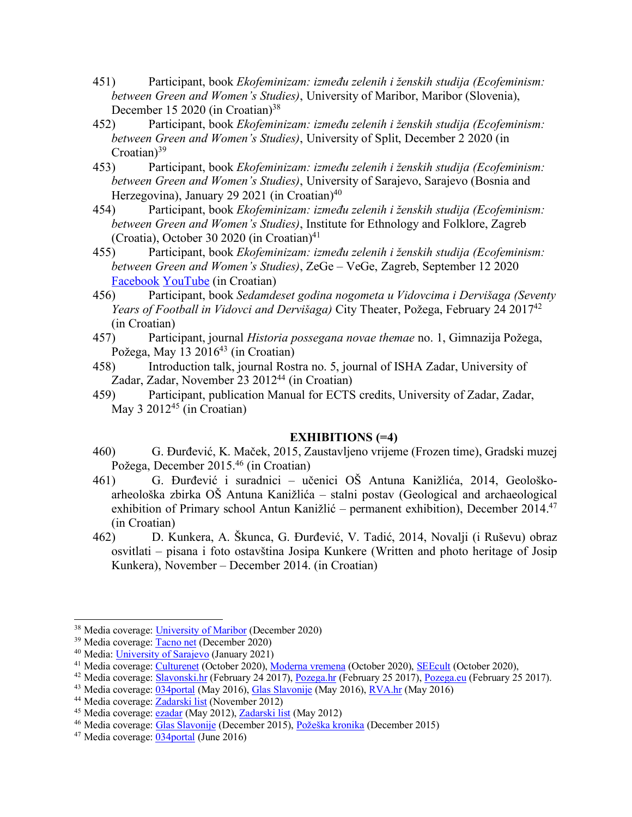- 451) Participant, book *Ekofeminizam: između zelenih i ženskih studija (Ecofeminism: between Green and Women's Studies)*, University of Maribor, Maribor (Slovenia), December 15 2020 (in Croatian)<sup>38</sup>
- 452) Participant, book *Ekofeminizam: između zelenih i ženskih studija (Ecofeminism: between Green and Women's Studies)*, University of Split, December 2 2020 (in Croatian) $39$
- 453) Participant, book *Ekofeminizam: između zelenih i ženskih studija (Ecofeminism: between Green and Women's Studies)*, University of Sarajevo, Sarajevo (Bosnia and Herzegovina), January 29 2021 (in Croatian)<sup>40</sup>
- 454) Participant, book *Ekofeminizam: između zelenih i ženskih studija (Ecofeminism: between Green and Women's Studies)*, Institute for Ethnology and Folklore, Zagreb (Croatia), October 30 2020 (in Croatian) $41$
- 455) Participant, book *Ekofeminizam: između zelenih i ženskih studija (Ecofeminism: between Green and Women's Studies)*, ZeGe – VeGe, Zagreb, September 12 2020 Facebook YouTube (in Croatian)
- 456) Participant, book *Sedamdeset godina nogometa u Vidovcima i Dervišaga (Seventy Years of Football in Vidovci and Dervišaga)* City Theater, Požega, February 24 201742 (in Croatian)
- 457) Participant, journal *Historia possegana novae themae* no. 1, Gimnazija Požega, Požega, May 13 2016<sup>43</sup> (in Croatian)
- 458) Introduction talk, journal Rostra no. 5, journal of ISHA Zadar, University of Zadar, Zadar, November 23 2012<sup>44</sup> (in Croatian)
- 459) Participant, publication Manual for ECTS credits, University of Zadar, Zadar, May  $3\ 2012^{45}$  (in Croatian)

# **EXHIBITIONS (=4)**

- 460) G. Đurđević, K. Maček, 2015, Zaustavljeno vrijeme (Frozen time), Gradski muzej Požega, December 2015.46 (in Croatian)
- 461) G. Đurđević i suradnici učenici OŠ Antuna Kanižlića, 2014, Geološkoarheološka zbirka OŠ Antuna Kanižlića – stalni postav (Geological and archaeological exhibition of Primary school Antun Kanižlić – permanent exhibition), December 2014.<sup>47</sup> (in Croatian)
- 462) D. Kunkera, A. Škunca, G. Đurđević, V. Tadić, 2014, Novalji (i Ruševu) obraz osvitlati – pisana i foto ostavština Josipa Kunkere (Written and photo heritage of Josip Kunkera), November – December 2014. (in Croatian)

<sup>&</sup>lt;sup>38</sup> Media coverage: University of Maribor (December 2020)

<sup>39</sup> Media coverage: Tacno net (December 2020)

<sup>&</sup>lt;sup>40</sup> Media: *University of Sarajevo* (January 2021)<br><sup>41</sup> Media coverage: *Culturenet* (October 2020), *Moderna vremena* (October 2020), *SEEcult* (October 2020),

<sup>&</sup>lt;sup>42</sup> Media coverage:  $\overline{Slavonski,hr}$  (February 24 2017), Pozega.hr (February 25 2017), Pozega.eu (February 25 2017).

<sup>43</sup> Media coverage: 034portal (May 2016), Glas Slavonije (May 2016), RVA.hr (May 2016)

<sup>44</sup> Media coverage: Zadarski list (November 2012)

<sup>45</sup> Media coverage: ezadar (May 2012), Zadarski list (May 2012)

<sup>&</sup>lt;sup>46</sup> Media coverage: Glas Slavonije (December 2015), Požeška kronika (December 2015)

<sup>47</sup> Media coverage: 034portal (June 2016)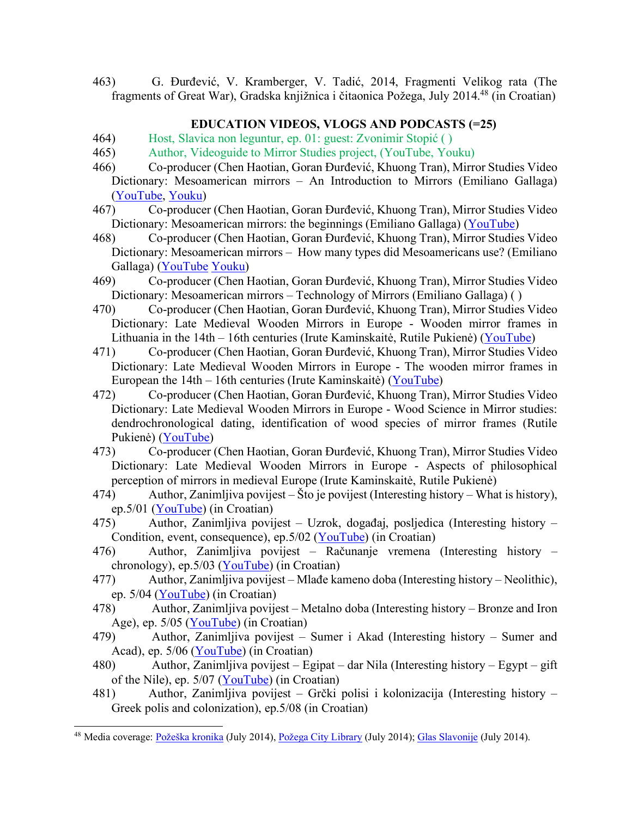463) G. Đurđević, V. Kramberger, V. Tadić, 2014, Fragmenti Velikog rata (The fragments of Great War), Gradska knjižnica i čitaonica Požega, July 2014.48 (in Croatian)

## **EDUCATION VIDEOS, VLOGS AND PODCASTS (=25)**

- 464) Host, Slavica non leguntur, ep. 01: guest: Zvonimir Stopić ( )
- 465) Author, Videoguide to Mirror Studies project, (YouTube, Youku)
- 466) Co-producer (Chen Haotian, Goran Đurđević, Khuong Tran), Mirror Studies Video Dictionary: Mesoamerican mirrors – An Introduction to Mirrors (Emiliano Gallaga) (YouTube, Youku)
- 467) Co-producer (Chen Haotian, Goran Đurđević, Khuong Tran), Mirror Studies Video Dictionary: Mesoamerican mirrors: the beginnings (Emiliano Gallaga) (YouTube)
- 468) Co-producer (Chen Haotian, Goran Đurđević, Khuong Tran), Mirror Studies Video Dictionary: Mesoamerican mirrors – How many types did Mesoamericans use? (Emiliano Gallaga) (YouTube Youku)
- 469) Co-producer (Chen Haotian, Goran Đurđević, Khuong Tran), Mirror Studies Video Dictionary: Mesoamerican mirrors – Technology of Mirrors (Emiliano Gallaga) ( )
- 470) Co-producer (Chen Haotian, Goran Đurđević, Khuong Tran), Mirror Studies Video Dictionary: Late Medieval Wooden Mirrors in Europe - Wooden mirror frames in Lithuania in the 14th – 16th centuries (Irute Kaminskaitė, Rutile Pukienė) (YouTube)
- 471) Co-producer (Chen Haotian, Goran Đurđević, Khuong Tran), Mirror Studies Video Dictionary: Late Medieval Wooden Mirrors in Europe - The wooden mirror frames in European the 14th – 16th centuries (Irute Kaminskaitė) (YouTube)
- 472) Co-producer (Chen Haotian, Goran Đurđević, Khuong Tran), Mirror Studies Video Dictionary: Late Medieval Wooden Mirrors in Europe - Wood Science in Mirror studies: dendrochronological dating, identification of wood species of mirror frames (Rutile Pukienė) (YouTube)
- 473) Co-producer (Chen Haotian, Goran Đurđević, Khuong Tran), Mirror Studies Video Dictionary: Late Medieval Wooden Mirrors in Europe - Aspects of philosophical perception of mirrors in medieval Europe (Irute Kaminskaitė, Rutile Pukienė)
- 474) Author, Zanimljiva povijest Što je povijest (Interesting history What is history), ep.5/01 (YouTube) (in Croatian)
- 475) Author, Zanimljiva povijest Uzrok, događaj, posljedica (Interesting history Condition, event, consequence), ep.5/02 (YouTube) (in Croatian)
- 476) Author, Zanimljiva povijest Računanje vremena (Interesting history chronology), ep.  $5/03$  (YouTube) (in Croatian)
- 477) Author, Zanimljiva povijest Mlađe kameno doba (Interesting history Neolithic), ep. 5/04 (YouTube) (in Croatian)
- 478) Author, Zanimljiva povijest Metalno doba (Interesting history Bronze and Iron Age), ep. 5/05 (YouTube) (in Croatian)
- 479) Author, Zanimljiva povijest Sumer i Akad (Interesting history Sumer and Acad), ep. 5/06 (YouTube) (in Croatian)
- 480) Author, Zanimljiva povijest Egipat dar Nila (Interesting history Egypt gift of the Nile), ep. 5/07 (YouTube) (in Croatian)
- 481) Author, Zanimljiva povijest Grčki polisi i kolonizacija (Interesting history Greek polis and colonization), ep.5/08 (in Croatian)

<sup>&</sup>lt;sup>48</sup> Media coverage: Požeška kronika (July 2014), Požega City Library (July 2014); Glas Slavonije (July 2014).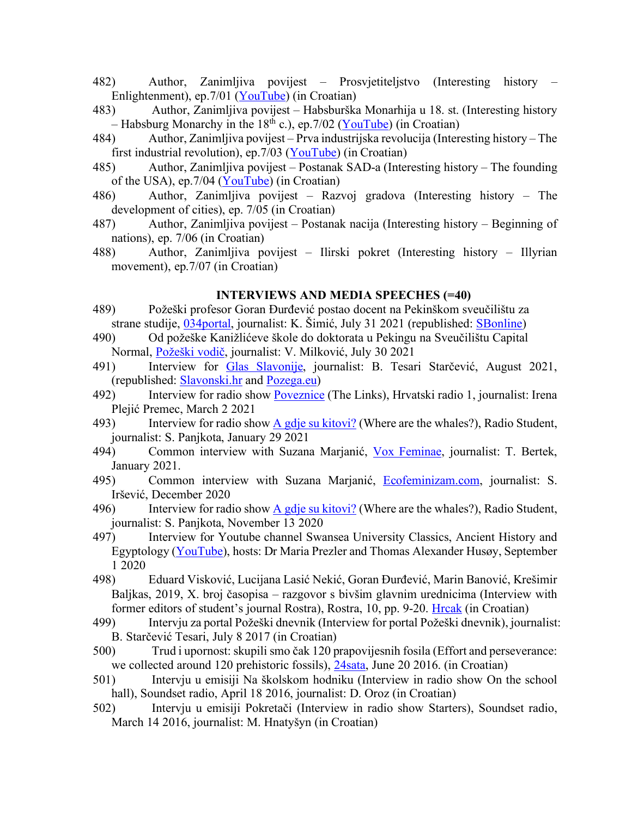- 482) Author, Zanimljiva povijest Prosvjetiteljstvo (Interesting history Enlightenment), ep.7/01 (YouTube) (in Croatian)
- 483) Author, Zanimljiva povijest Habsburška Monarhija u 18. st. (Interesting history – Habsburg Monarchy in the 18<sup>th</sup> c.), ep. 7/02 (YouTube) (in Croatian)
- 484) Author, Zanimljiva povijest Prva industrijska revolucija (Interesting history The first industrial revolution), ep.  $7/03$  (YouTube) (in Croatian)
- 485) Author, Zanimljiva povijest Postanak SAD-a (Interesting history The founding of the USA), ep.7/04 (YouTube) (in Croatian)
- 486) Author, Zanimljiva povijest Razvoj gradova (Interesting history The development of cities), ep. 7/05 (in Croatian)
- 487) Author, Zanimljiva povijest Postanak nacija (Interesting history Beginning of nations), ep. 7/06 (in Croatian)
- 488) Author, Zanimljiva povijest Ilirski pokret (Interesting history Illyrian movement), ep.7/07 (in Croatian)

#### **INTERVIEWS AND MEDIA SPEECHES (=40)**

- 489) Požeški profesor Goran Đurđević postao docent na Pekinškom sveučilištu za strane studije, 034portal, journalist: K. Šimić, July 31 2021 (republished: SBonline)
- 490) Od požeške Kanižlićeve škole do doktorata u Pekingu na Sveučilištu Capital Normal, Požeški vodič, journalist: V. Milković, July 30 2021
- 491) Interview for Glas Slavonije, journalist: B. Tesari Starčević, August 2021, (republished: Slavonski.hr and Pozega.eu)
- 492) Interview for radio show **Poveznice** (The Links), Hrvatski radio 1, journalist: Irena Plejić Premec, March 2 2021
- 493) Interview for radio show A gdje su kitovi? (Where are the whales?), Radio Student, journalist: S. Panjkota, January 29 2021
- 494) Common interview with Suzana Marjanić, Vox Feminae, journalist: T. Bertek, January 2021.
- 495) Common interview with Suzana Marjanić, Ecofeminizam.com, journalist: S. Iršević, December 2020
- 496) Interview for radio show A gdje su kitovi? (Where are the whales?), Radio Student, journalist: S. Panjkota, November 13 2020
- 497) Interview for Youtube channel Swansea University Classics, Ancient History and Egyptology (YouTube), hosts: Dr Maria Prezler and Thomas Alexander Husøy, September 1 2020
- 498) Eduard Visković, Lucijana Lasić Nekić, Goran Đurđević, Marin Banović, Krešimir Baljkas, 2019, X. broj časopisa – razgovor s bivšim glavnim urednicima (Interview with former editors of student's journal Rostra), Rostra, 10, pp. 9-20. Hrcak (in Croatian)
- 499) Intervju za portal Požeški dnevnik (Interview for portal Požeški dnevnik), journalist: B. Starčević Tesari, July 8 2017 (in Croatian)
- 500) Trud i upornost: skupili smo čak 120 prapovijesnih fosila (Effort and perseverance: we collected around 120 prehistoric fossils), 24sata, June 20 2016. (in Croatian)
- 501) Intervju u emisiji Na školskom hodniku (Interview in radio show On the school hall), Soundset radio, April 18 2016, journalist: D. Oroz (in Croatian)
- 502) Intervju u emisiji Pokretači (Interview in radio show Starters), Soundset radio, March 14 2016, journalist: M. Hnatyšyn (in Croatian)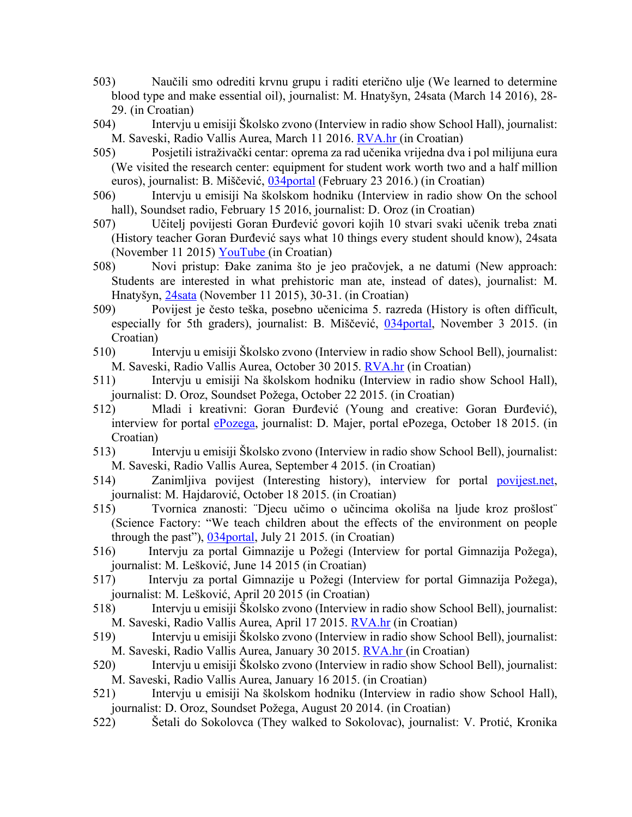- 503) Naučili smo odrediti krvnu grupu i raditi eterično ulje (We learned to determine blood type and make essential oil), journalist: M. Hnatyšyn, 24sata (March 14 2016), 28- 29. (in Croatian)
- 504) Intervju u emisiji Školsko zvono (Interview in radio show School Hall), journalist: M. Saveski, Radio Vallis Aurea, March 11 2016. RVA.hr (in Croatian)
- 505) Posjetili istraživački centar: oprema za rad učenika vrijedna dva i pol milijuna eura (We visited the research center: equipment for student work worth two and a half million euros), journalist: B. Miščević, 034portal (February 23 2016.) (in Croatian)
- 506) Intervju u emisiji Na školskom hodniku (Interview in radio show On the school hall), Soundset radio, February 15 2016, journalist: D. Oroz (in Croatian)
- 507) Učitelj povijesti Goran Đurđević govori kojih 10 stvari svaki učenik treba znati (History teacher Goran Đurđević says what 10 things every student should know), 24sata (November 11 2015) YouTube (in Croatian)
- 508) Novi pristup: Đake zanima što je jeo pračovjek, a ne datumi (New approach: Students are interested in what prehistoric man ate, instead of dates), journalist: M. Hnatyšyn, 24sata (November 11 2015), 30-31. (in Croatian)
- 509) Povijest je često teška, posebno učenicima 5. razreda (History is often difficult, especially for 5th graders), journalist: B. Miščević, 034portal, November 3 2015. (in Croatian)
- 510) Intervju u emisiji Školsko zvono (Interview in radio show School Bell), journalist: M. Saveski, Radio Vallis Aurea, October 30 2015. RVA.hr (in Croatian)
- 511) Intervju u emisiji Na školskom hodniku (Interview in radio show School Hall), journalist: D. Oroz, Soundset Požega, October 22 2015. (in Croatian)
- 512) Mladi i kreativni: Goran Đurđević (Young and creative: Goran Đurđević), interview for portal ePozega, journalist: D. Majer, portal ePozega, October 18 2015. (in Croatian)
- 513) Intervju u emisiji Školsko zvono (Interview in radio show School Bell), journalist: M. Saveski, Radio Vallis Aurea, September 4 2015. (in Croatian)
- 514) Zanimljiva povijest (Interesting history), interview for portal povijest.net, journalist: M. Hajdarović, October 18 2015. (in Croatian)
- 515) Tvornica znanosti: ¨Djecu učimo o učincima okoliša na ljude kroz prošlost¨ (Science Factory: "We teach children about the effects of the environment on people through the past"), 034portal, July 21 2015. (in Croatian)
- 516) Intervju za portal Gimnazije u Požegi (Interview for portal Gimnazija Požega), journalist: M. Lešković, June 14 2015 (in Croatian)
- 517) Intervju za portal Gimnazije u Požegi (Interview for portal Gimnazija Požega), journalist: M. Lešković, April 20 2015 (in Croatian)
- 518) Intervju u emisiji Školsko zvono (Interview in radio show School Bell), journalist: M. Saveski, Radio Vallis Aurea, April 17 2015. RVA.hr (in Croatian)
- 519) Intervju u emisiji Školsko zvono (Interview in radio show School Bell), journalist: M. Saveski, Radio Vallis Aurea, January 30 2015. RVA.hr (in Croatian)
- 520) Intervju u emisiji Školsko zvono (Interview in radio show School Bell), journalist: M. Saveski, Radio Vallis Aurea, January 16 2015. (in Croatian)
- 521) Intervju u emisiji Na školskom hodniku (Interview in radio show School Hall), journalist: D. Oroz, Soundset Požega, August 20 2014. (in Croatian)
- 522) Šetali do Sokolovca (They walked to Sokolovac), journalist: V. Protić, Kronika